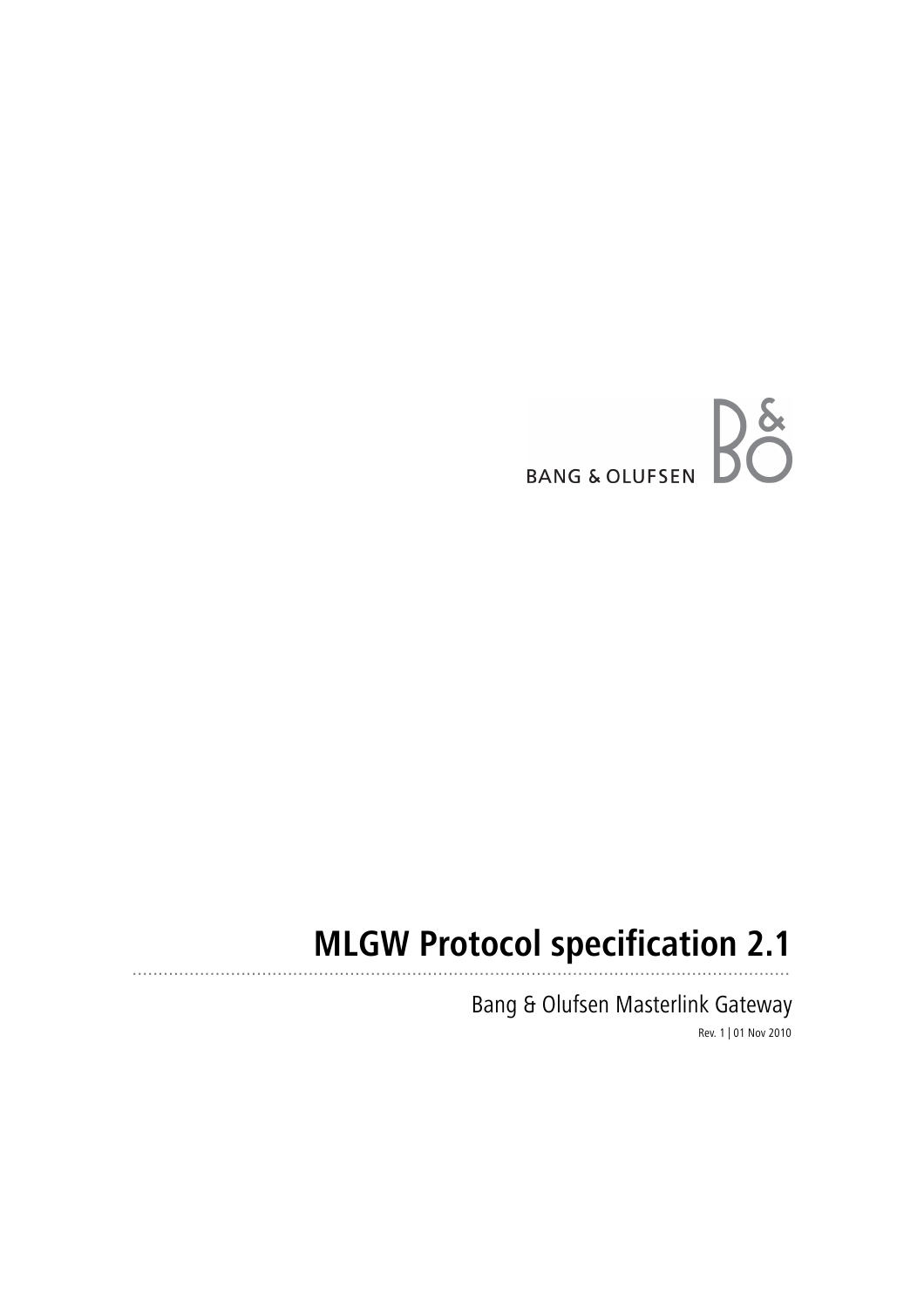

#### **MLGW Protocol specification 2.1** ...............................................................................................................................

Bang & Olufsen Masterlink Gateway Rev. 1 | 01 Nov 2010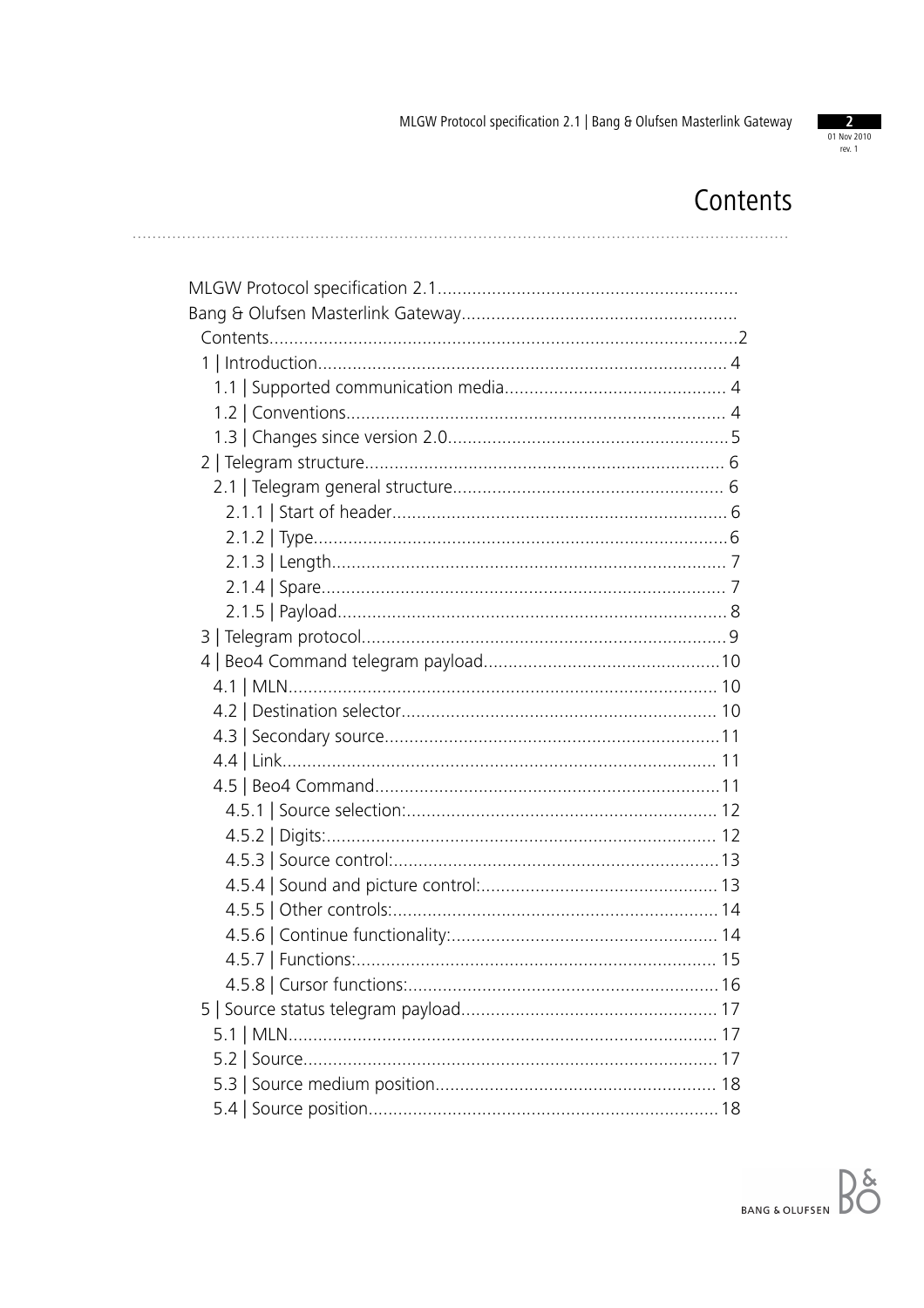

# Contents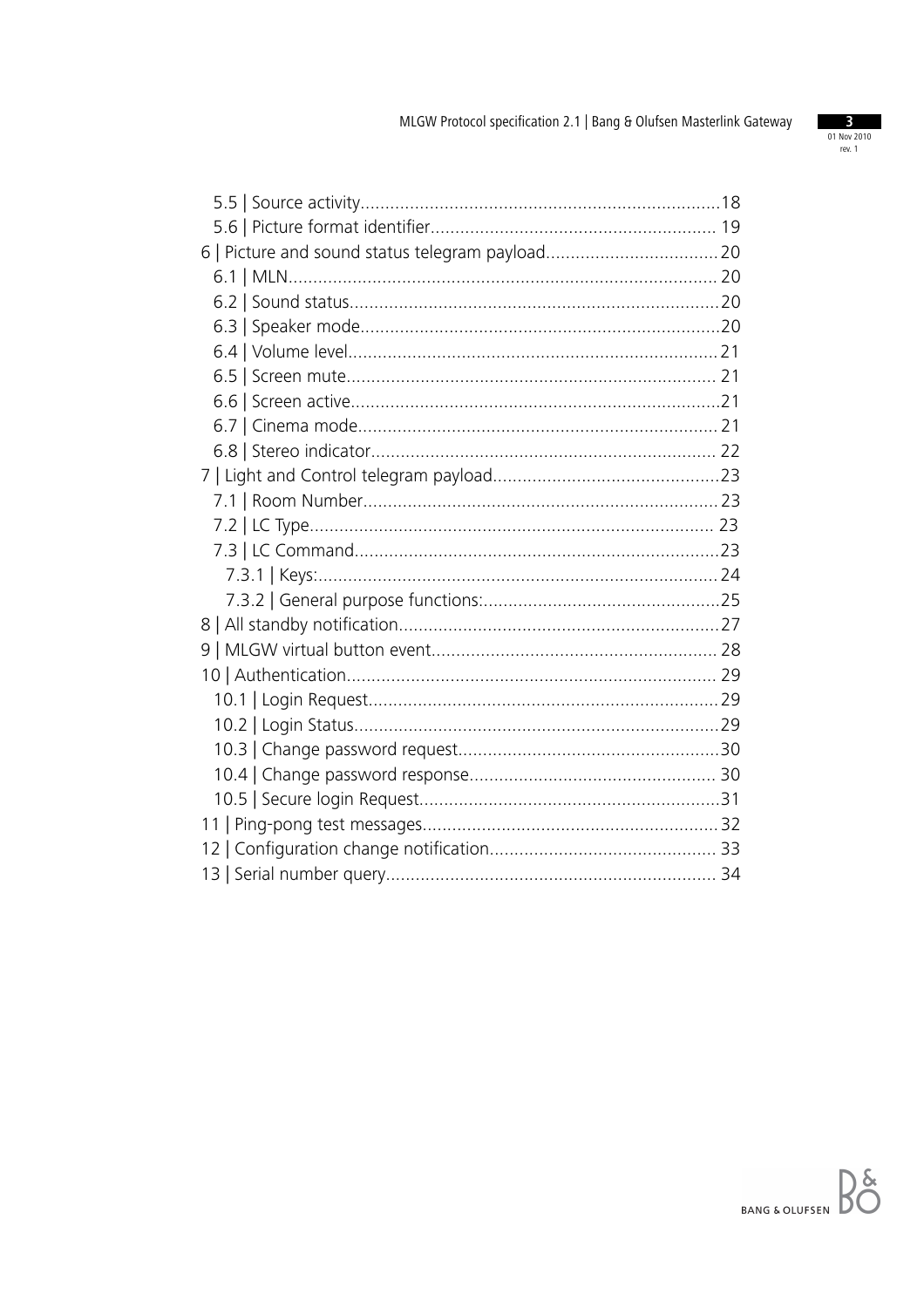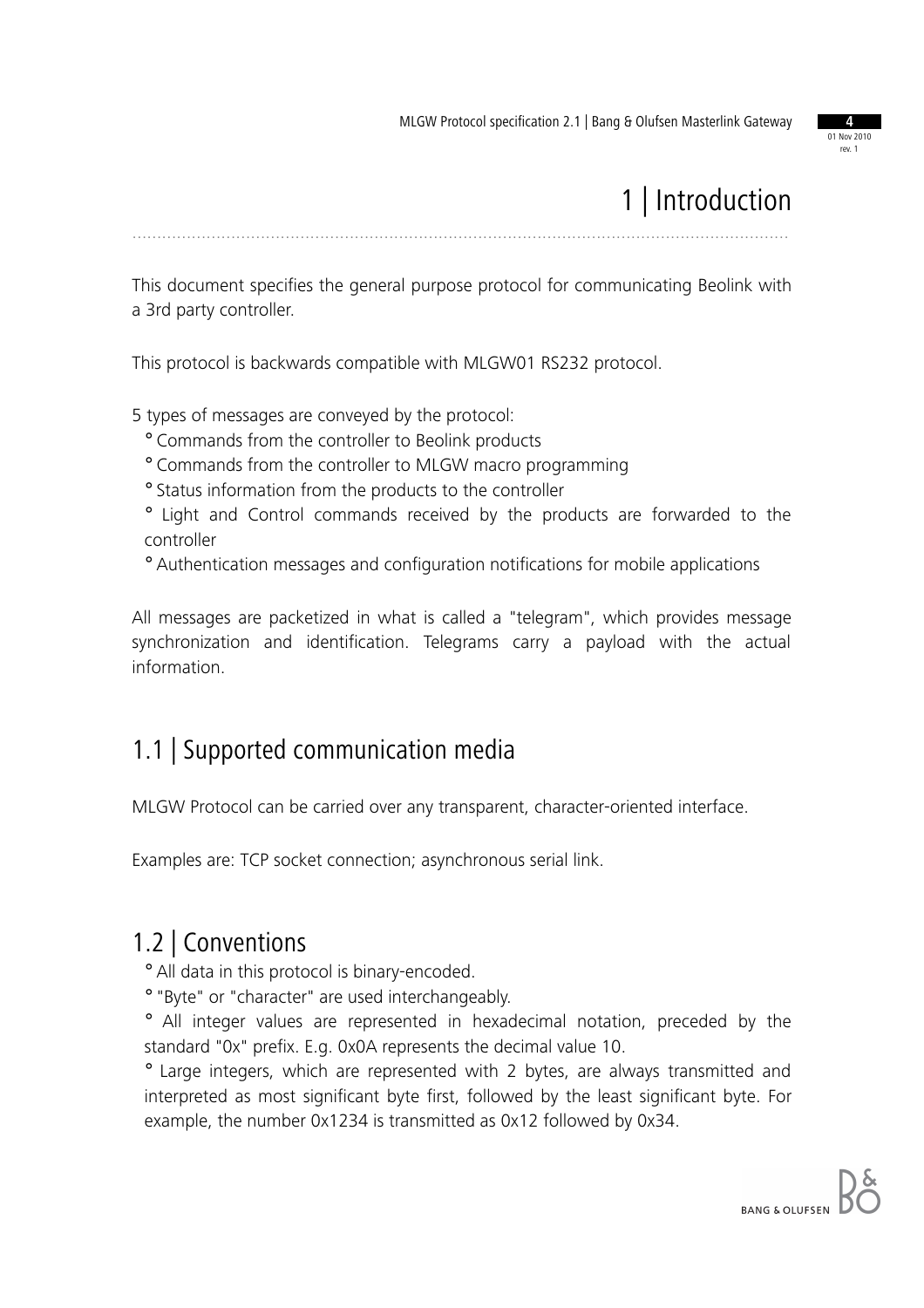

# 1 | Introduction

.....................................................................................................................................

This document specifies the general purpose protocol for communicating Beolink with a 3rd party controller.

This protocol is backwards compatible with MLGW01 RS232 protocol.

5 types of messages are conveyed by the protocol:

- ° Commands from the controller to Beolink products
- ° Commands from the controller to MLGW macro programming
- ° Status information from the products to the controller
- ° Light and Control commands received by the products are forwarded to the controller
- ° Authentication messages and configuration notifications for mobile applications

All messages are packetized in what is called a "telegram", which provides message synchronization and identification. Telegrams carry a payload with the actual information.

#### 1.1 | Supported communication media

MLGW Protocol can be carried over any transparent, character-oriented interface.

Examples are: TCP socket connection; asynchronous serial link.

#### 1.2 | Conventions

° All data in this protocol is binary-encoded.

° "Byte" or "character" are used interchangeably.

° All integer values are represented in hexadecimal notation, preceded by the standard "0x" prefix. E.g. 0x0A represents the decimal value 10.

° Large integers, which are represented with 2 bytes, are always transmitted and interpreted as most significant byte first, followed by the least significant byte. For example, the number 0x1234 is transmitted as 0x12 followed by 0x34.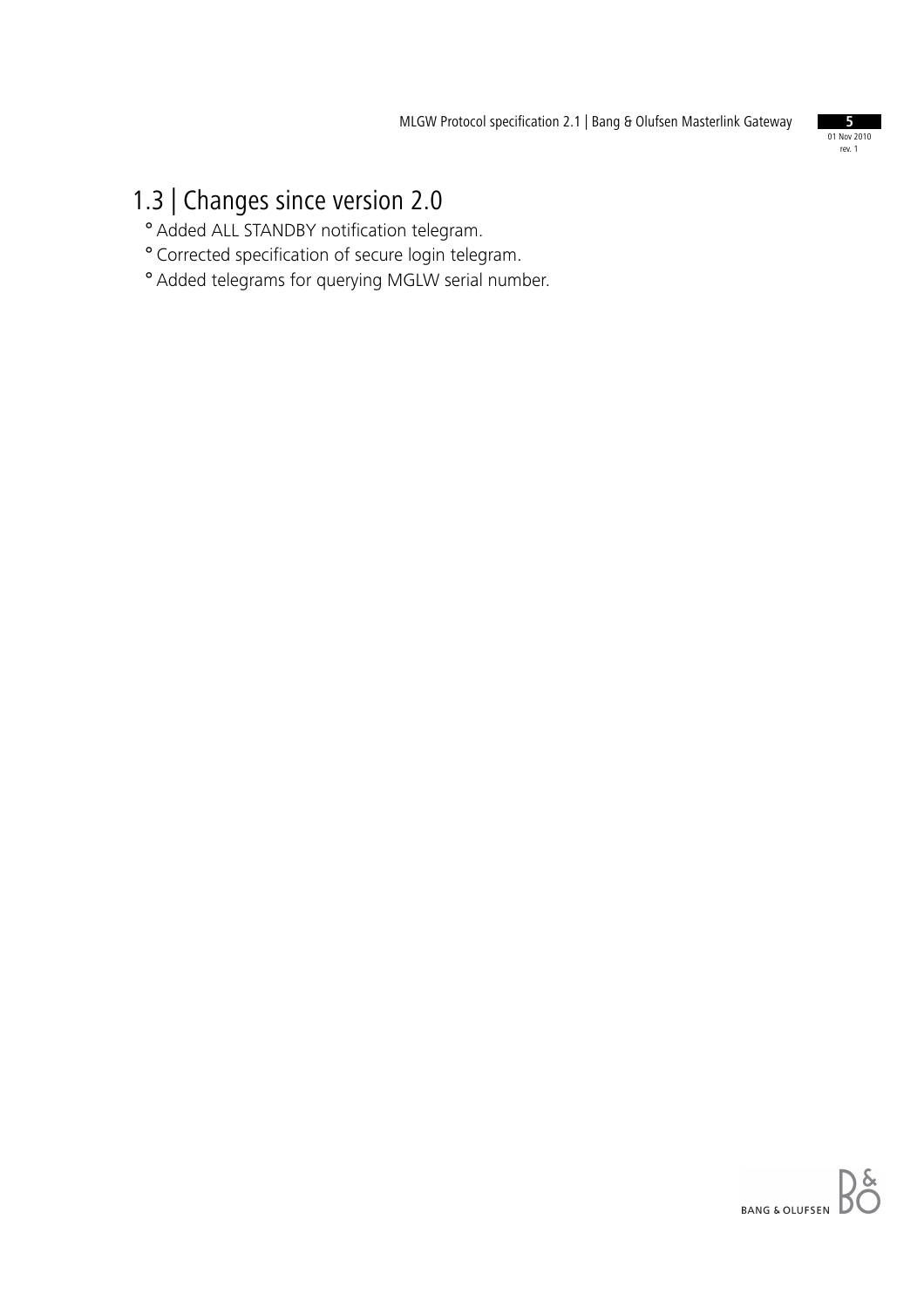

## 1.3 | Changes since version 2.0

- ° Added ALL STANDBY notification telegram.
- ° Corrected specification of secure login telegram.
- ° Added telegrams for querying MGLW serial number.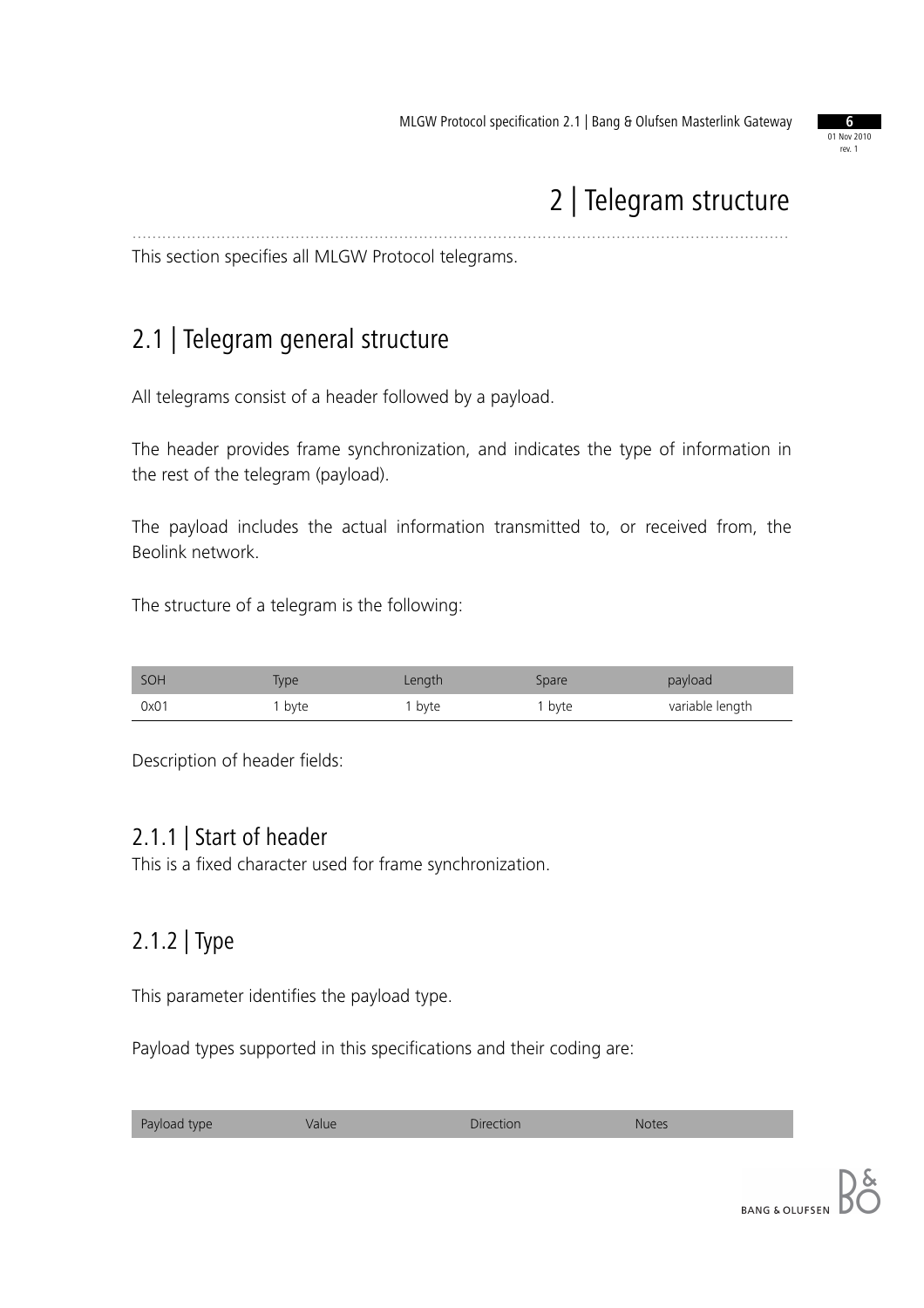

## 2 | Telegram structure

This section specifies all MLGW Protocol telegrams.

## 2.1 | Telegram general structure

All telegrams consist of a header followed by a payload.

The header provides frame synchronization, and indicates the type of information in the rest of the telegram (payload).

.....................................................................................................................................

The payload includes the actual information transmitted to, or received from, the Beolink network.

The structure of a telegram is the following:

| SOH  | Type | Length | Spare  | payload         |
|------|------|--------|--------|-----------------|
| 0x01 | byte | . byte | 1 byte | variable length |

Description of header fields:

#### 2.1.1 | Start of header

This is a fixed character used for frame synchronization.

#### 2.1.2 | Type

This parameter identifies the payload type.

Payload types supported in this specifications and their coding are:

| Payload type<br>Direction<br>allle <sup>,</sup> | <b>Notes</b> |  |
|-------------------------------------------------|--------------|--|
|-------------------------------------------------|--------------|--|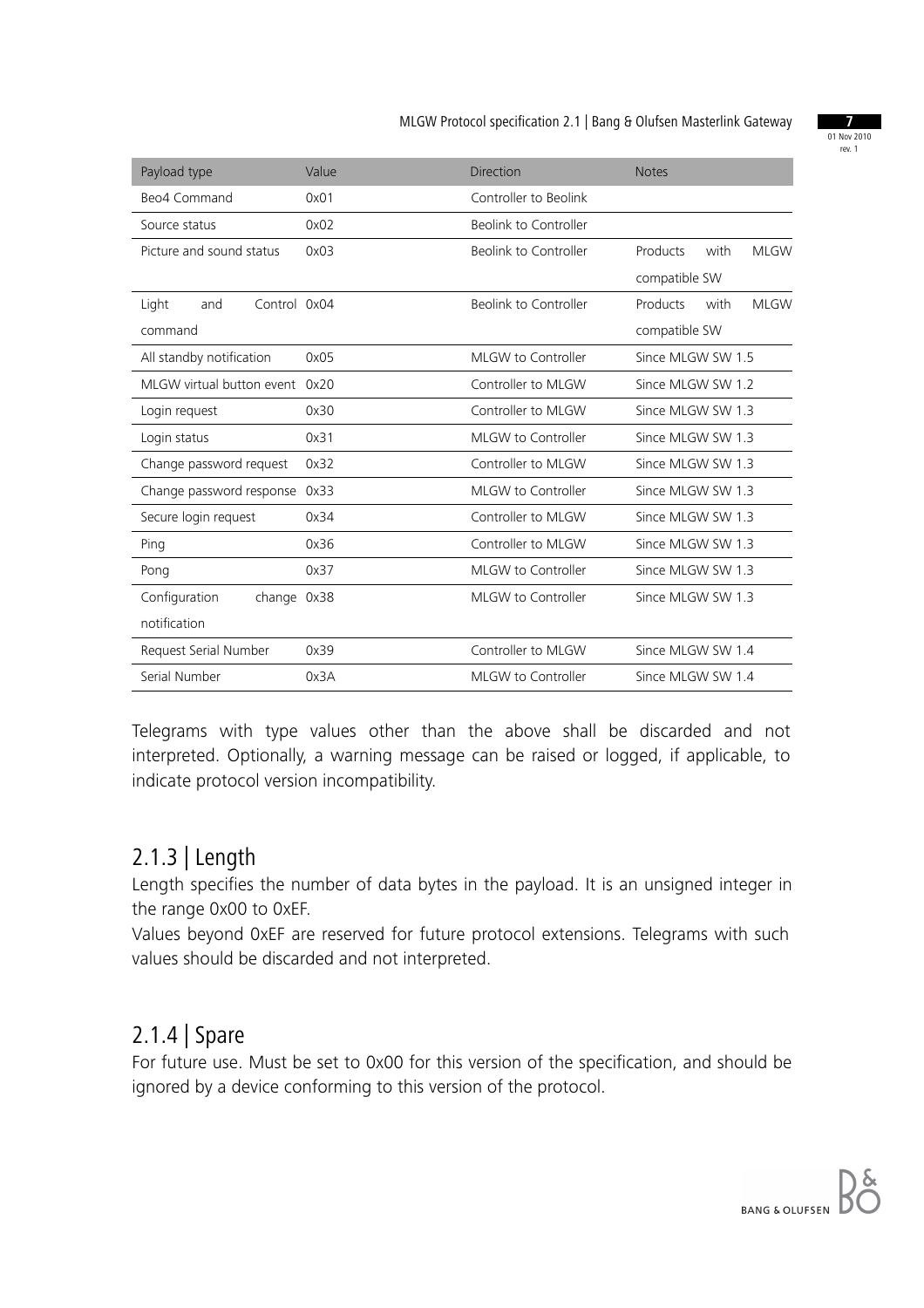01 Nov 2010 rev. 1

| Payload type                   | Value | Direction             | <b>Notes</b>                    |
|--------------------------------|-------|-----------------------|---------------------------------|
| Beo4 Command                   | 0x01  | Controller to Beolink |                                 |
| Source status                  | 0x02  | Beolink to Controller |                                 |
| Picture and sound status       | 0x03  | Beolink to Controller | Products<br>with<br><b>MLGW</b> |
|                                |       |                       | compatible SW                   |
| Control 0x04<br>Light<br>and   |       | Beolink to Controller | Products<br>with<br><b>MLGW</b> |
| command                        |       |                       | compatible SW                   |
| All standby notification       | 0x05  | MLGW to Controller    | Since MLGW SW 1.5               |
| MLGW virtual button event 0x20 |       | Controller to MLGW    | Since MLGW SW 1.2               |
| Login request                  | 0x30  | Controller to MLGW    | Since MLGW SW 1.3               |
| Login status                   | 0x31  | MLGW to Controller    | Since MLGW SW 1.3               |
| Change password request        | 0x32  | Controller to MLGW    | Since MLGW SW 1.3               |
| Change password response 0x33  |       | MLGW to Controller    | Since MLGW SW 1.3               |
| Secure login request           | 0x34  | Controller to MLGW    | Since MLGW SW 1.3               |
| Ping                           | 0x36  | Controller to MLGW    | Since MLGW SW 1.3               |
| Pong                           | 0x37  | MLGW to Controller    | Since MLGW SW 1.3               |
| Configuration<br>change 0x38   |       | MLGW to Controller    | Since MLGW SW 1.3               |
| notification                   |       |                       |                                 |
| Request Serial Number          | 0x39  | Controller to MLGW    | Since MLGW SW 1.4               |
| Serial Number                  | 0x3A  | MLGW to Controller    | Since MLGW SW 1.4               |

Telegrams with type values other than the above shall be discarded and not interpreted. Optionally, a warning message can be raised or logged, if applicable, to indicate protocol version incompatibility.

#### 2.1.3 | Length

Length specifies the number of data bytes in the payload. It is an unsigned integer in the range 0x00 to 0xEF.

Values beyond 0xEF are reserved for future protocol extensions. Telegrams with such values should be discarded and not interpreted.

#### 2.1.4 | Spare

For future use. Must be set to 0x00 for this version of the specification, and should be ignored by a device conforming to this version of the protocol.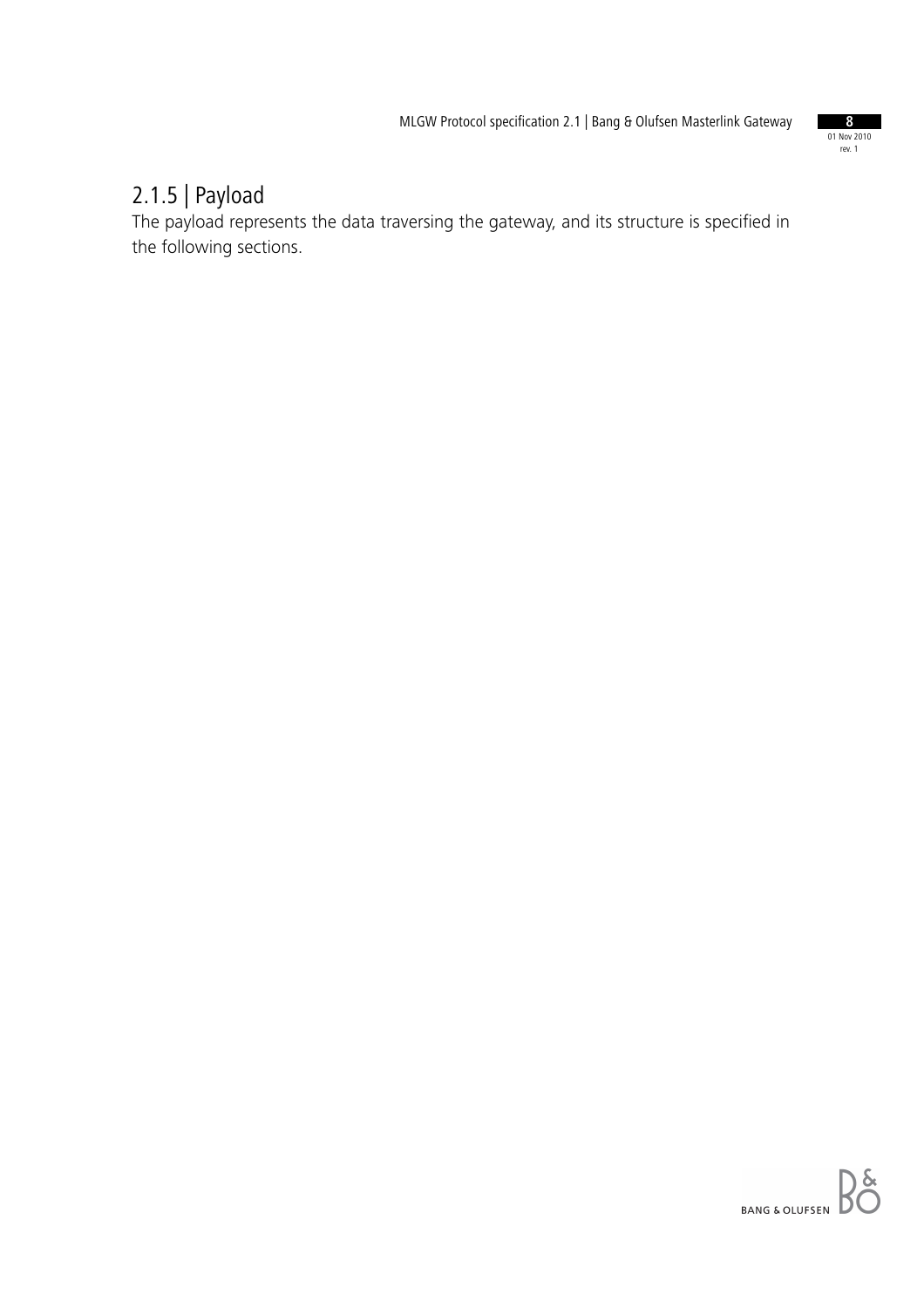

#### 2.1.5 | Payload

The payload represents the data traversing the gateway, and its structure is specified in the following sections.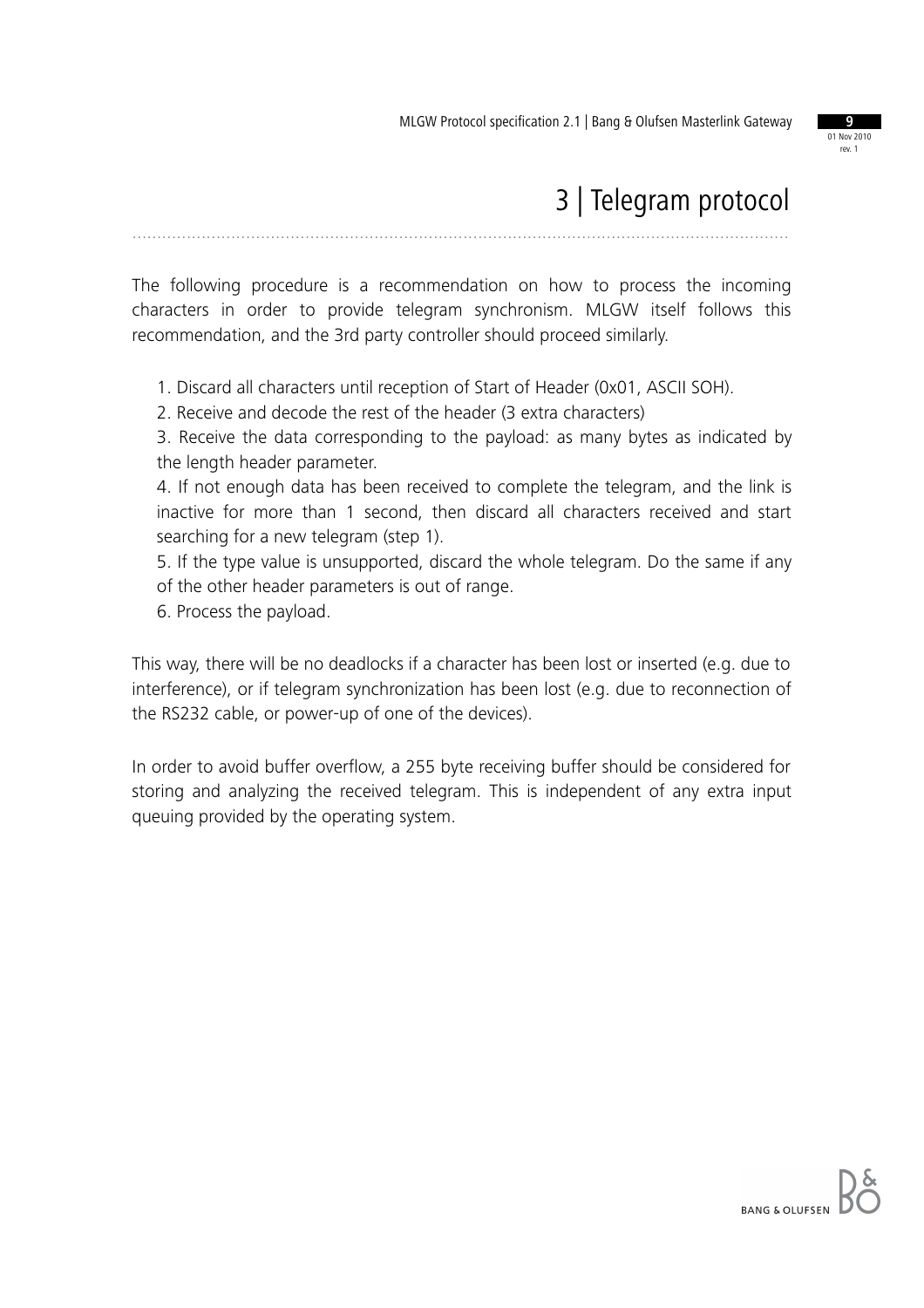

## 3 | Telegram protocol

The following procedure is a recommendation on how to process the incoming characters in order to provide telegram synchronism. MLGW itself follows this recommendation, and the 3rd party controller should proceed similarly.

.....................................................................................................................................

1. Discard all characters until reception of Start of Header (0x01, ASCII SOH).

2. Receive and decode the rest of the header (3 extra characters)

3. Receive the data corresponding to the payload: as many bytes as indicated by the length header parameter.

4. If not enough data has been received to complete the telegram, and the link is inactive for more than 1 second, then discard all characters received and start searching for a new telegram (step 1).

5. If the type value is unsupported, discard the whole telegram. Do the same if any of the other header parameters is out of range.

6. Process the payload.

This way, there will be no deadlocks if a character has been lost or inserted (e.g. due to interference), or if telegram synchronization has been lost (e.g. due to reconnection of the RS232 cable, or power-up of one of the devices).

In order to avoid buffer overflow, a 255 byte receiving buffer should be considered for storing and analyzing the received telegram. This is independent of any extra input queuing provided by the operating system.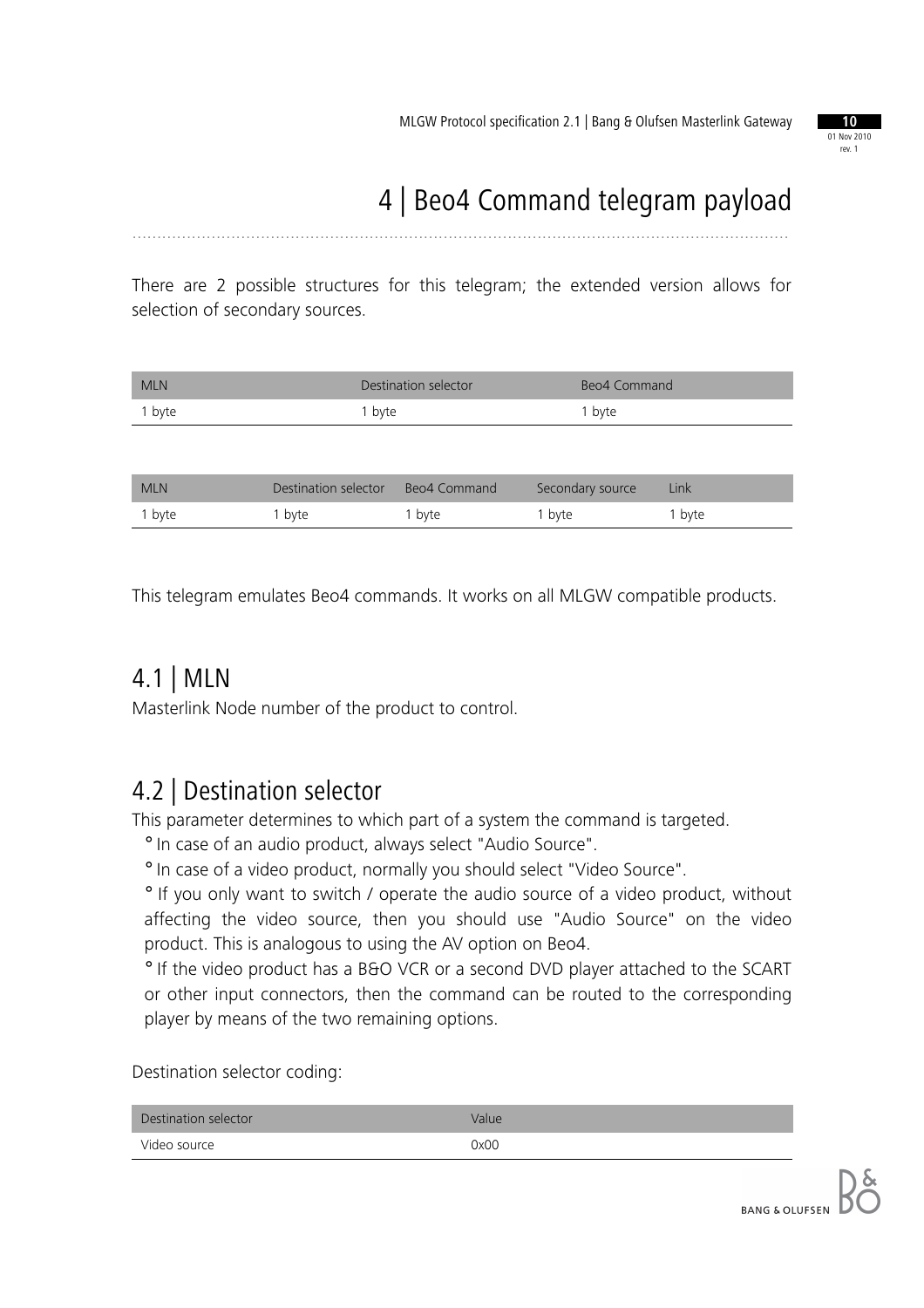

# 4 | Beo4 Command telegram payload

There are 2 possible structures for this telegram; the extended version allows for selection of secondary sources.

.....................................................................................................................................

| <b>MLN</b> | Destination selector | Beo4 Command |
|------------|----------------------|--------------|
| 1 byte     | 1 byte               | 1 byte       |
|            |                      |              |

| <b>MLN</b> | Destination selector | Beo4 Command      | Secondary source | Link   |
|------------|----------------------|-------------------|------------------|--------|
| 1 byte     | ' byte               | <sup>1</sup> byte | 1 byte           | 1 byte |

This telegram emulates Beo4 commands. It works on all MLGW compatible products.

#### 4.1 | MLN

Masterlink Node number of the product to control.

#### 4.2 | Destination selector

This parameter determines to which part of a system the command is targeted.

° In case of an audio product, always select "Audio Source".

° In case of a video product, normally you should select "Video Source".

° If you only want to switch / operate the audio source of a video product, without affecting the video source, then you should use "Audio Source" on the video product. This is analogous to using the AV option on Beo4.

° If the video product has a B&O VCR or a second DVD player attached to the SCART or other input connectors, then the command can be routed to the corresponding player by means of the two remaining options.

Destination selector coding:

| Destination selector | Value |
|----------------------|-------|
| Video source         | 0x00  |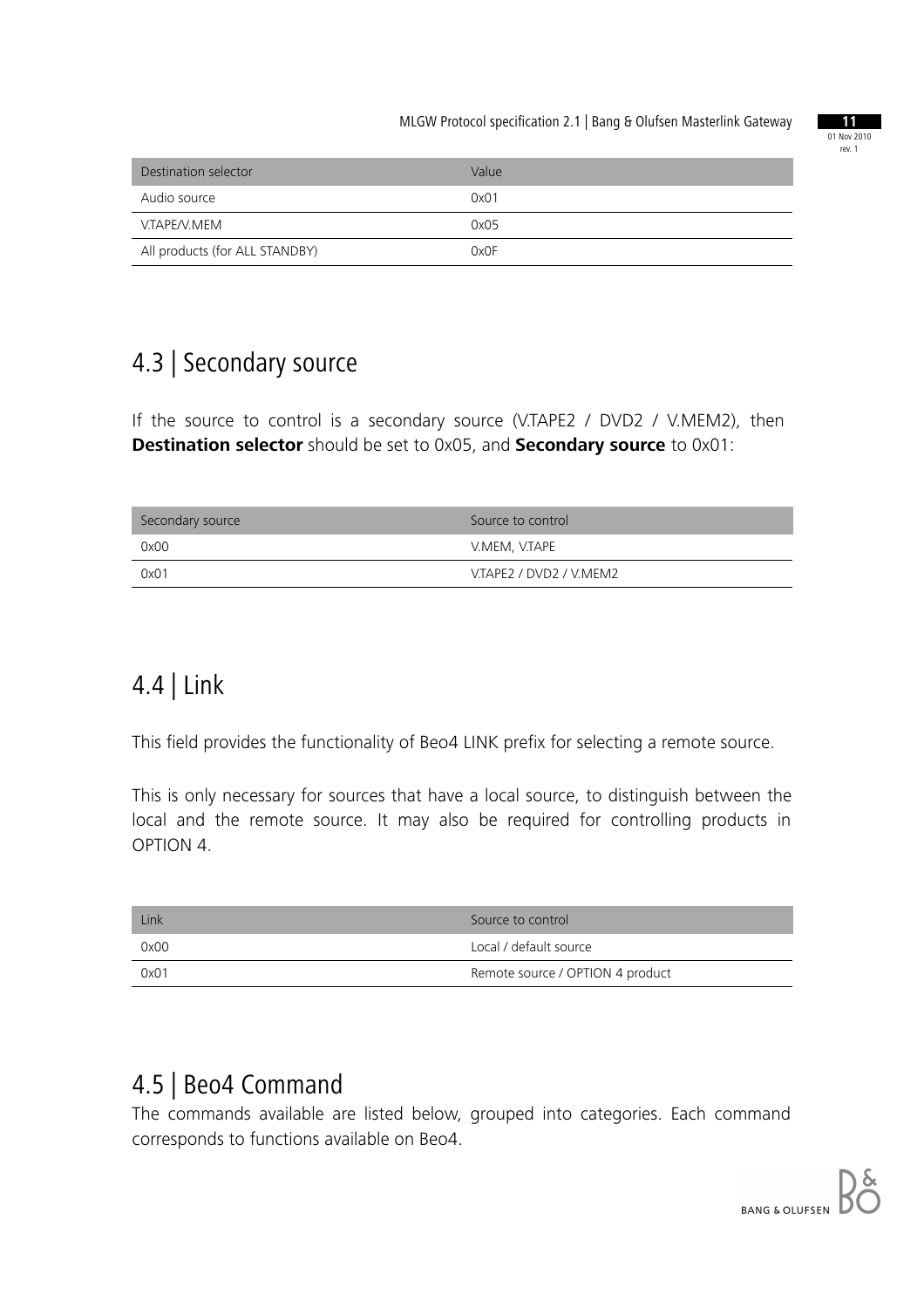

| Destination selector           | Value |
|--------------------------------|-------|
| Audio source                   | 0x01  |
| V.TAPE/V.MEM                   | 0x05  |
| All products (for ALL STANDBY) | 0x0F  |

## 4.3 | Secondary source

If the source to control is a secondary source (V.TAPE2 / DVD2 / V.MEM2), then **Destination selector** should be set to 0x05, and **Secondary source** to 0x01:

| Secondary source | Source to control       |
|------------------|-------------------------|
| 0x00             | V.MEM, V.TAPE           |
| 0x01             | V.TAPE2 / DVD2 / V.MEM2 |

## 4.4 | Link

This field provides the functionality of Beo4 LINK prefix for selecting a remote source.

This is only necessary for sources that have a local source, to distinguish between the local and the remote source. It may also be required for controlling products in OPTION 4.

| Link | Source to control                |
|------|----------------------------------|
| 0x00 | Local / default source           |
| 0x01 | Remote source / OPTION 4 product |

#### 4.5 | Beo4 Command

The commands available are listed below, grouped into categories. Each command corresponds to functions available on Beo4.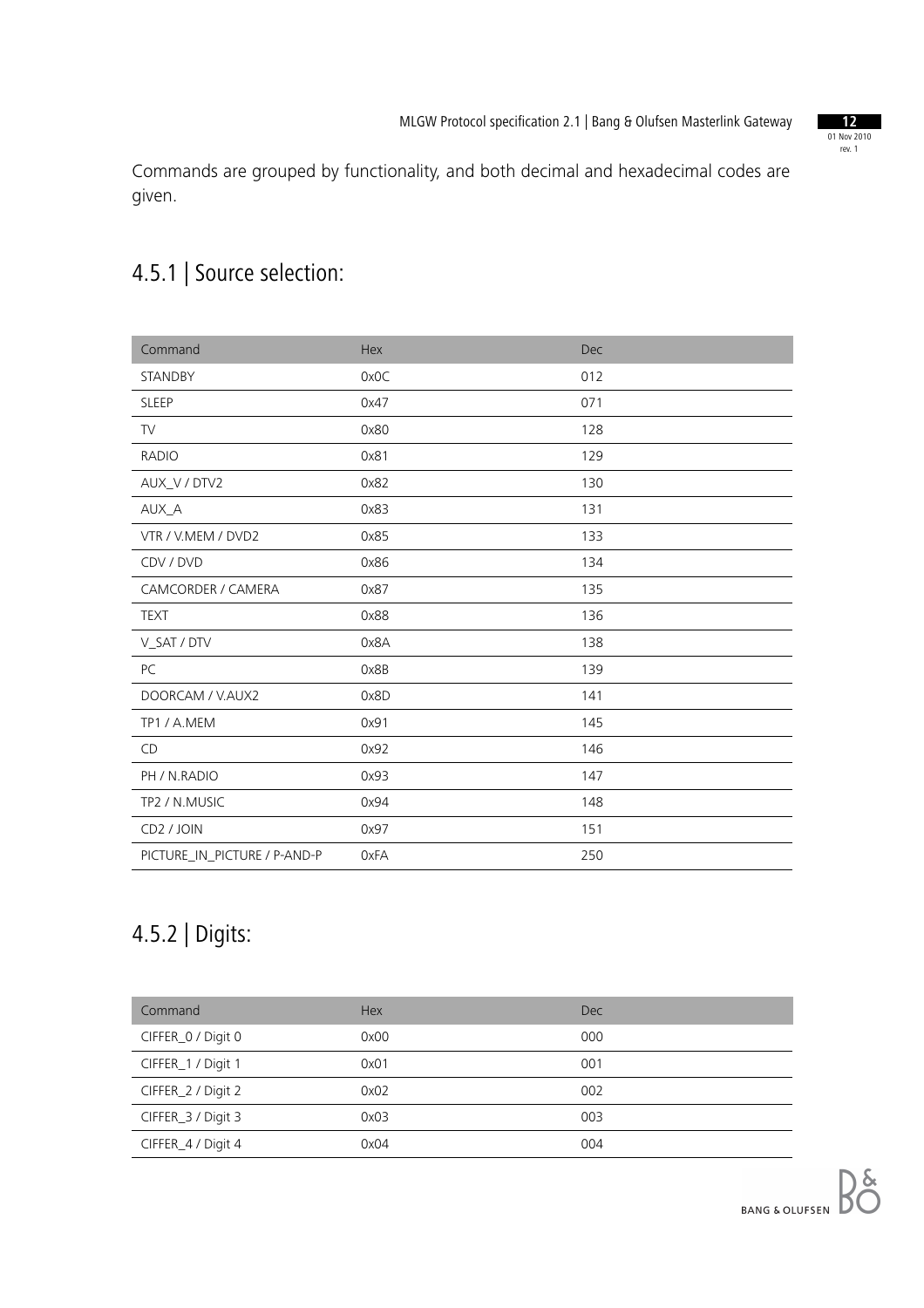01 Nov 2010 rev. 1

Commands are grouped by functionality, and both decimal and hexadecimal codes are given.

## 4.5.1 | Source selection:

| Command                      | Hex  | Dec |
|------------------------------|------|-----|
| STANDBY                      | 0x0C | 012 |
| <b>SLEEP</b>                 | 0x47 | 071 |
| <b>TV</b>                    | 0x80 | 128 |
| <b>RADIO</b>                 | 0x81 | 129 |
| AUX_V / DTV2                 | 0x82 | 130 |
| AUX_A                        | 0x83 | 131 |
| VTR / V.MEM / DVD2           | 0x85 | 133 |
| CDV / DVD                    | 0x86 | 134 |
| CAMCORDER / CAMERA           | 0x87 | 135 |
| <b>TEXT</b>                  | 0x88 | 136 |
| V_SAT / DTV                  | 0x8A | 138 |
| PC                           | 0x8B | 139 |
| DOORCAM / V.AUX2             | 0x8D | 141 |
| TP1/A.MEM                    | 0x91 | 145 |
| CD                           | 0x92 | 146 |
| PH / N.RADIO                 | 0x93 | 147 |
| TP2 / N.MUSIC                | 0x94 | 148 |
| CD <sub>2</sub> / JOIN       | 0x97 | 151 |
| PICTURE_IN_PICTURE / P-AND-P | 0xFA | 250 |

### 4.5.2 | Digits:

| Command            | <b>Hex</b> | Dec |
|--------------------|------------|-----|
| CIFFER_0 / Digit 0 | 0x00       | 000 |
| CIFFER_1 / Digit 1 | 0x01       | 001 |
| CIFFER_2 / Digit 2 | 0x02       | 002 |
| CIFFER_3 / Digit 3 | 0x03       | 003 |
| CIFFER_4 / Digit 4 | 0x04       | 004 |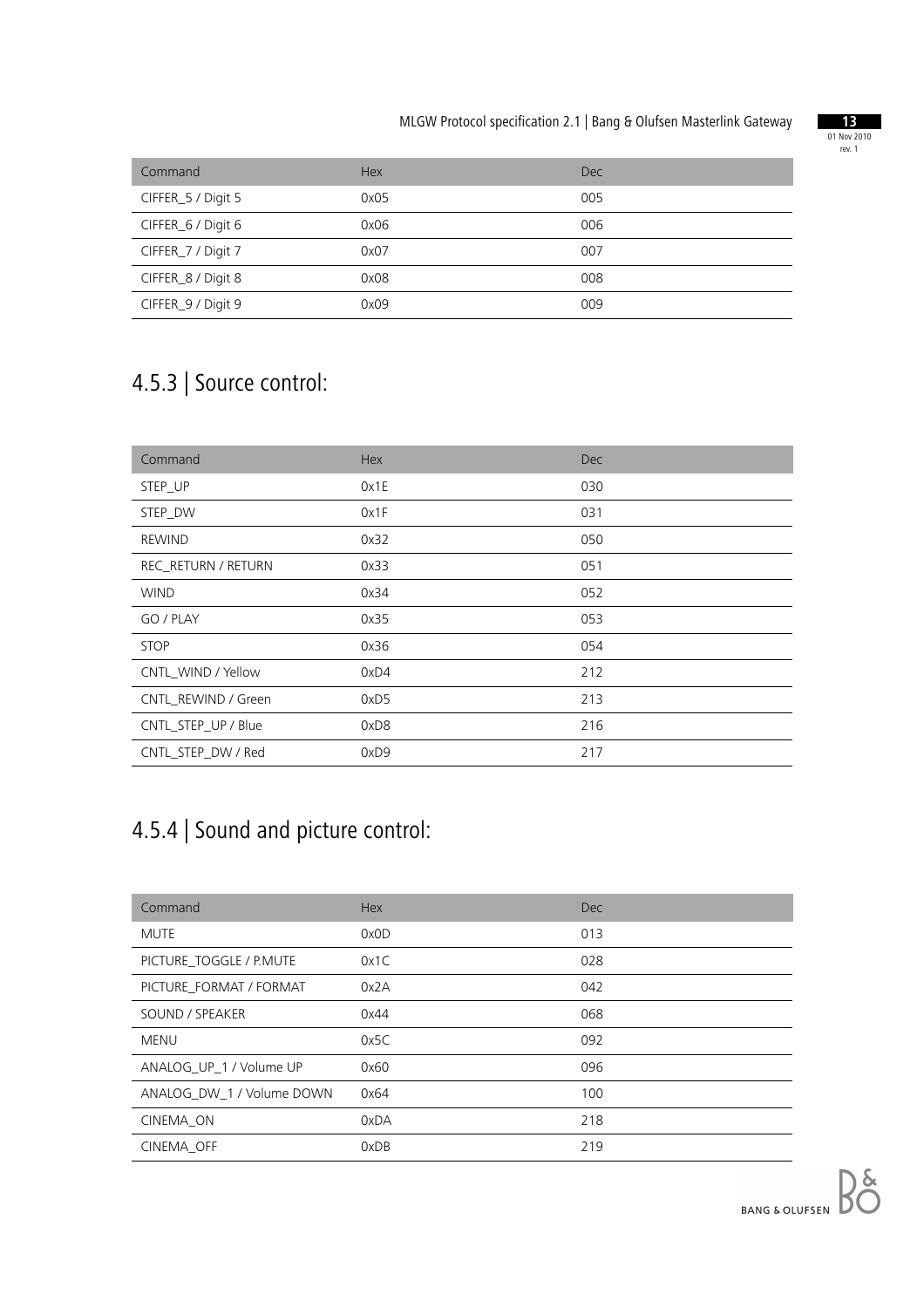

| Command            | <b>Hex</b> | Dec |
|--------------------|------------|-----|
| CIFFER_5 / Digit 5 | 0x05       | 005 |
| CIFFER_6 / Digit 6 | 0x06       | 006 |
| CIFFER_7 / Digit 7 | 0x07       | 007 |
| CIFFER_8 / Digit 8 | 0x08       | 008 |
| CIFFER_9 / Digit 9 | 0x09       | 009 |

### 4.5.3 | Source control:

| Command             | Hex  | <b>Dec</b> |
|---------------------|------|------------|
| STEP_UP             | 0x1E | 030        |
| STEP_DW             | 0x1F | 031        |
| <b>REWIND</b>       | 0x32 | 050        |
| REC_RETURN / RETURN | 0x33 | 051        |
| <b>WIND</b>         | 0x34 | 052        |
| GO / PLAY           | 0x35 | 053        |
| <b>STOP</b>         | 0x36 | 054        |
| CNTL WIND / Yellow  | 0xD4 | 212        |
| CNTL REWIND / Green | 0xD5 | 213        |
| CNTL_STEP_UP / Blue | 0xD8 | 216        |
| CNTL_STEP_DW / Red  | 0xD9 | 217        |

#### 4.5.4 | Sound and picture control:

| Command                   | <b>Hex</b> | <b>Dec</b> |
|---------------------------|------------|------------|
| MUTE                      | 0x0D       | 013        |
| PICTURE_TOGGLE / P.MUTE   | 0x1C       | 028        |
| PICTURE FORMAT / FORMAT   | 0x2A       | 042        |
| SOUND / SPEAKER           | 0x44       | 068        |
| MENU                      | 0x5C       | 092        |
| ANALOG UP 1 / Volume UP   | 0x60       | 096        |
| ANALOG DW 1 / Volume DOWN | 0x64       | 100        |
| CINEMA ON                 | 0xDA       | 218        |
| CINEMA OFF                | 0xDB       | 219        |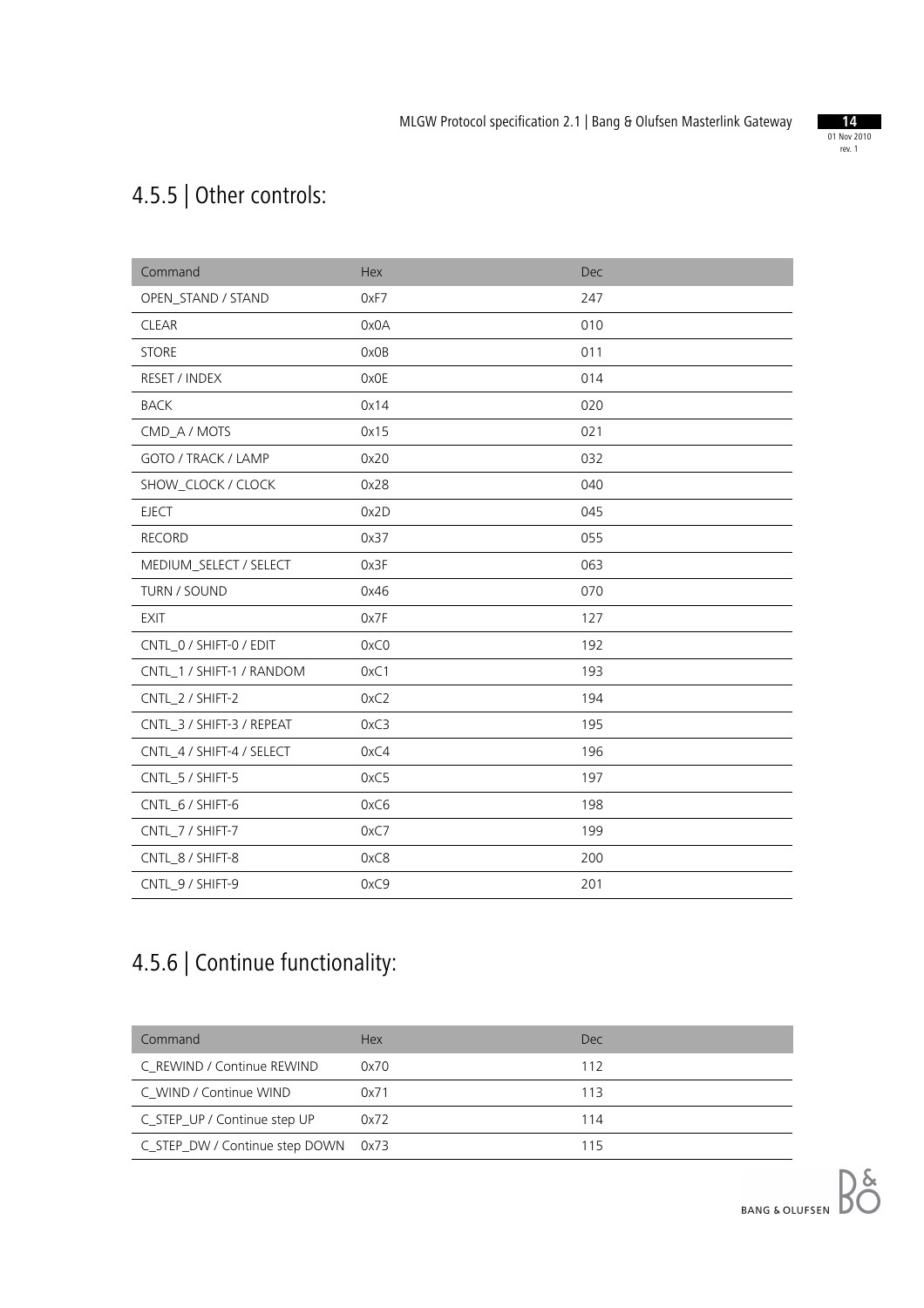

## 4.5.5 | Other controls:

| Command                   | Hex  | Dec |
|---------------------------|------|-----|
| OPEN_STAND / STAND        | 0xF7 | 247 |
| <b>CLEAR</b>              | 0x0A | 010 |
| <b>STORE</b>              | 0x0B | 011 |
| RESET / INDEX             | 0x0E | 014 |
| <b>BACK</b>               | 0x14 | 020 |
| CMD_A / MOTS              | 0x15 | 021 |
| GOTO / TRACK / LAMP       | 0x20 | 032 |
| SHOW_CLOCK / CLOCK        | 0x28 | 040 |
| <b>EJECT</b>              | 0x2D | 045 |
| <b>RECORD</b>             | 0x37 | 055 |
| MEDIUM_SELECT / SELECT    | 0x3F | 063 |
| TURN / SOUND              | 0x46 | 070 |
| <b>EXIT</b>               | 0x7F | 127 |
| CNTL_0 / SHIFT-0 / EDIT   | 0xC0 | 192 |
| CNTL_1 / SHIFT-1 / RANDOM | 0xC1 | 193 |
| CNTL_2 / SHIFT-2          | 0xC2 | 194 |
| CNTL_3 / SHIFT-3 / REPEAT | 0xC3 | 195 |
| CNTL_4 / SHIFT-4 / SELECT | 0xC4 | 196 |
| CNTL_5 / SHIFT-5          | 0xC5 | 197 |
| CNTL_6 / SHIFT-6          | 0xC6 | 198 |
| CNTL_7 / SHIFT-7          | 0xC7 | 199 |
| CNTL_8 / SHIFT-8          | 0xC8 | 200 |
| CNTL 9 / SHIFT-9          | 0xC9 | 201 |

## 4.5.6 | Continue functionality:

| Command                             | <b>Hex</b> | Dec. |
|-------------------------------------|------------|------|
| C REWIND / Continue REWIND          | 0x70       | 112  |
| C WIND / Continue WIND              | 0x71       | 113  |
| C_STEP_UP / Continue step UP        | 0x72       | 114  |
| C_STEP_DW / Continue step DOWN 0x73 |            | 115  |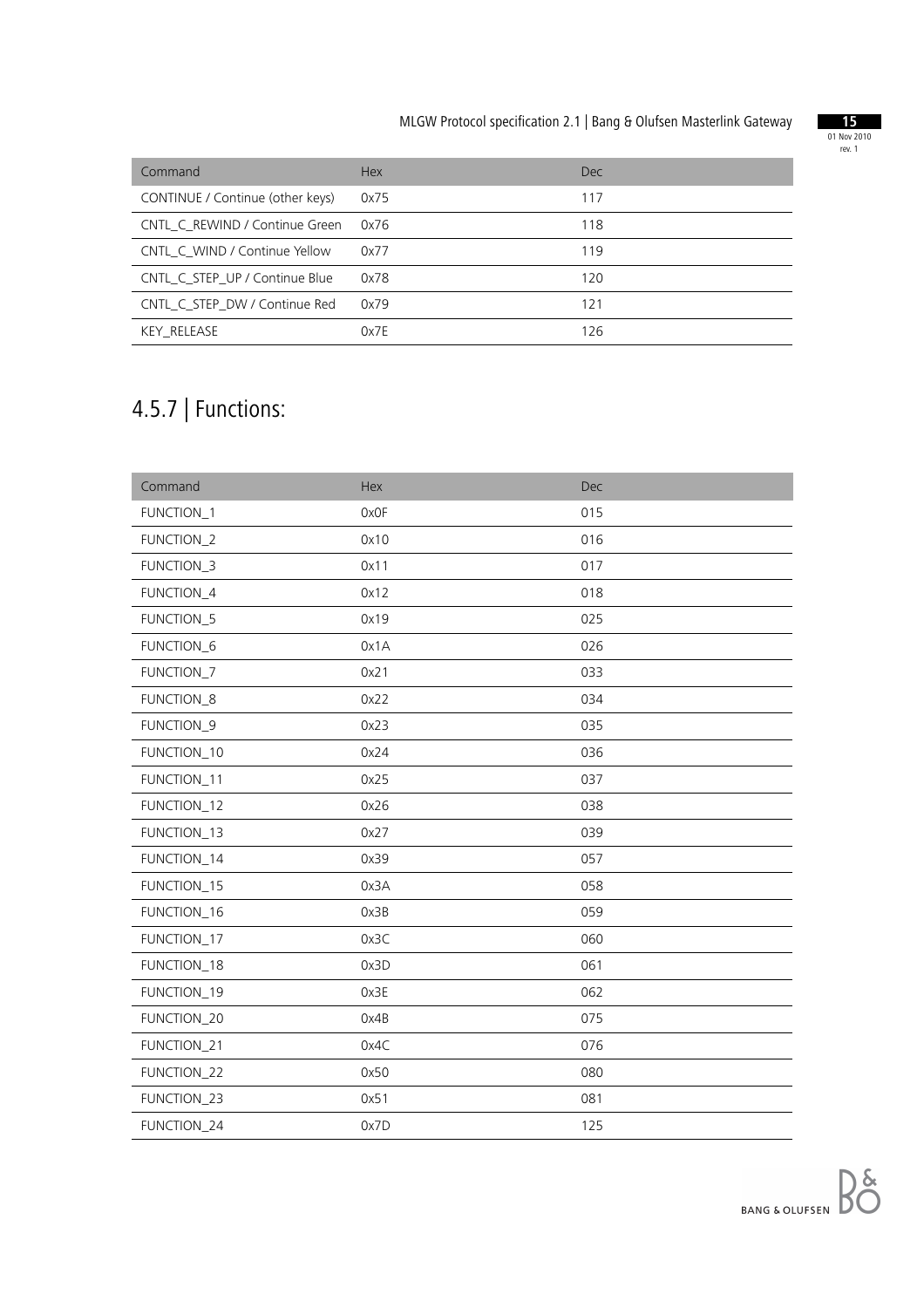

| Command                          | <b>Hex</b> | Dec. |
|----------------------------------|------------|------|
| CONTINUE / Continue (other keys) | 0x75       | 117  |
| CNTL C REWIND / Continue Green   | 0x76       | 118  |
| CNTL C WIND / Continue Yellow    | 0x77       | 119  |
| CNTL C STEP UP / Continue Blue   | 0x78       | 120  |
| CNTL_C_STEP_DW / Continue Red    | 0x79       | 121  |
| KEY RELEASE                      | Ox7F       | 126  |

# 4.5.7 | Functions:

| Command     | Hex  | Dec |
|-------------|------|-----|
| FUNCTION_1  | 0x0F | 015 |
| FUNCTION_2  | 0x10 | 016 |
| FUNCTION_3  | 0x11 | 017 |
| FUNCTION_4  | 0x12 | 018 |
| FUNCTION_5  | 0x19 | 025 |
| FUNCTION_6  | 0x1A | 026 |
| FUNCTION_7  | 0x21 | 033 |
| FUNCTION_8  | 0x22 | 034 |
| FUNCTION_9  | 0x23 | 035 |
| FUNCTION_10 | 0x24 | 036 |
| FUNCTION_11 | 0x25 | 037 |
| FUNCTION_12 | 0x26 | 038 |
| FUNCTION_13 | 0x27 | 039 |
| FUNCTION_14 | 0x39 | 057 |
| FUNCTION_15 | 0x3A | 058 |
| FUNCTION_16 | 0x3B | 059 |
| FUNCTION_17 | 0x3C | 060 |
| FUNCTION_18 | 0x3D | 061 |
| FUNCTION_19 | 0x3E | 062 |
| FUNCTION_20 | 0x4B | 075 |
| FUNCTION_21 | 0x4C | 076 |
| FUNCTION_22 | 0x50 | 080 |
| FUNCTION_23 | 0x51 | 081 |
| FUNCTION_24 | 0x7D | 125 |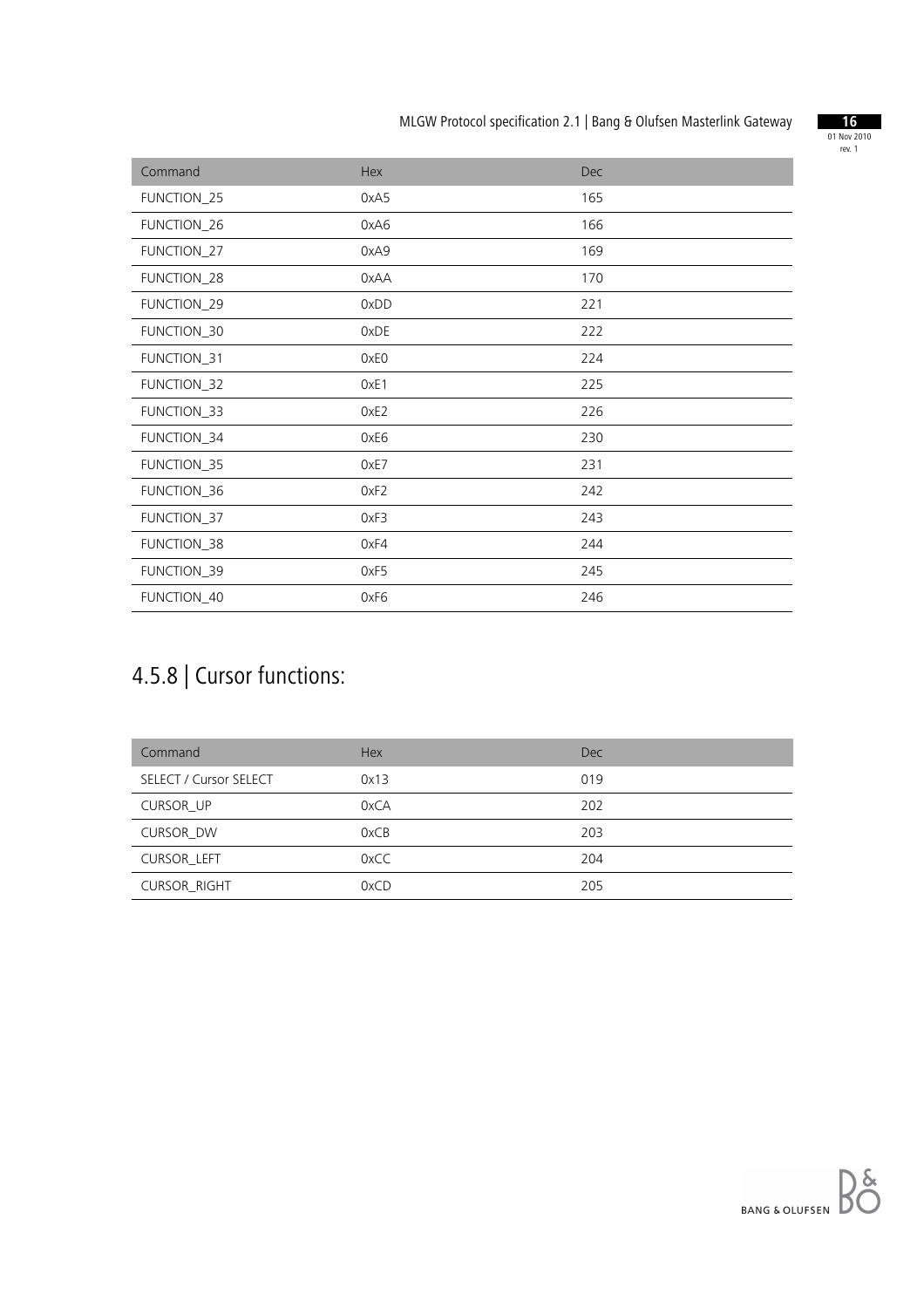

| Command     | Hex              | Dec |
|-------------|------------------|-----|
| FUNCTION_25 | 0xA5             | 165 |
| FUNCTION_26 | 0xA6             | 166 |
| FUNCTION_27 | 0xA9             | 169 |
| FUNCTION_28 | 0xAA             | 170 |
| FUNCTION_29 | 0xDD             | 221 |
| FUNCTION_30 | 0xDE             | 222 |
| FUNCTION_31 | 0xE0             | 224 |
| FUNCTION_32 | OxE1             | 225 |
| FUNCTION_33 | OxE <sub>2</sub> | 226 |
| FUNCTION_34 | 0xE6             | 230 |
| FUNCTION_35 | 0xE7             | 231 |
| FUNCTION_36 | 0xF2             | 242 |
| FUNCTION_37 | 0xF3             | 243 |
| FUNCTION_38 | 0xF4             | 244 |
| FUNCTION_39 | 0xF5             | 245 |
| FUNCTION_40 | 0xF6             | 246 |

# 4.5.8 | Cursor functions:

| Command                | <b>Hex</b> | Dec |
|------------------------|------------|-----|
| SELECT / Cursor SELECT | 0x13       | 019 |
| <b>CURSOR UP</b>       | 0xCA       | 202 |
| <b>CURSOR DW</b>       | 0xCB       | 203 |
| <b>CURSOR LEFT</b>     | 0xCC       | 204 |
| <b>CURSOR_RIGHT</b>    | 0xCD       | 205 |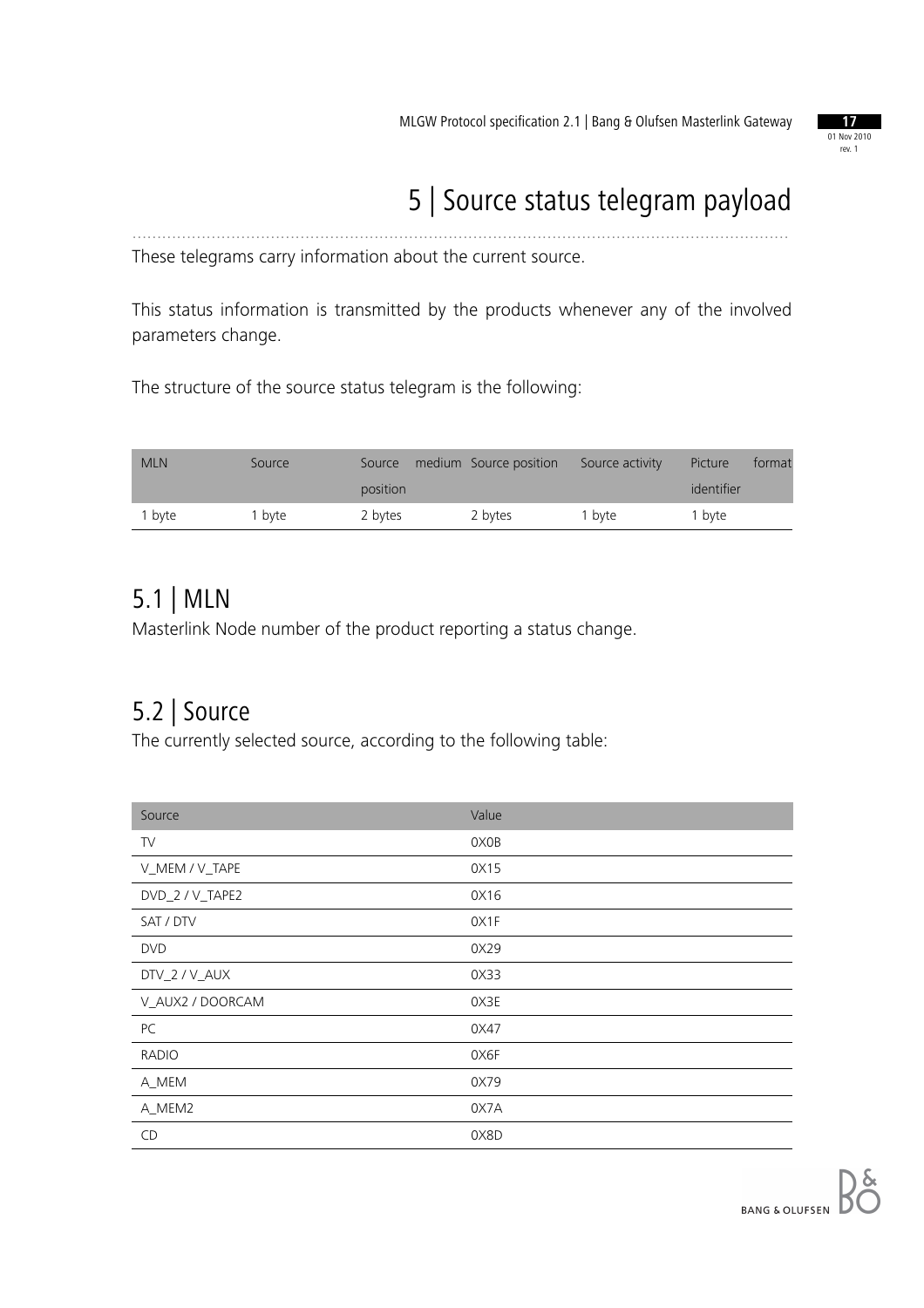

# 5 | Source status telegram payload

These telegrams carry information about the current source.

This status information is transmitted by the products whenever any of the involved parameters change.

.....................................................................................................................................

The structure of the source status telegram is the following:

| <b>MLN</b> | Source | Source   | medium Source position | Source activity | Picture    | format |
|------------|--------|----------|------------------------|-----------------|------------|--------|
|            |        | position |                        |                 | identifier |        |
| 1 byte     | l byte | 2 bytes  | 2 bytes                | 1 byte          | 1 byte     |        |

#### 5.1 | MLN

Masterlink Node number of the product reporting a status change.

#### 5.2 | Source

The currently selected source, according to the following table:

| Source           | Value |
|------------------|-------|
| TV               | 0X0B  |
| V_MEM / V_TAPE   | 0X15  |
| DVD_2 / V_TAPE2  | 0X16  |
| SAT / DTV        | OX1F  |
| <b>DVD</b>       | 0X29  |
| DTV_2 / V_AUX    | 0X33  |
| V_AUX2 / DOORCAM | 0X3E  |
| PC               | 0X47  |
| <b>RADIO</b>     | 0X6F  |
| A_MEM            | 0X79  |
| A_MEM2           | 0X7A  |
| CD               | 0X8D  |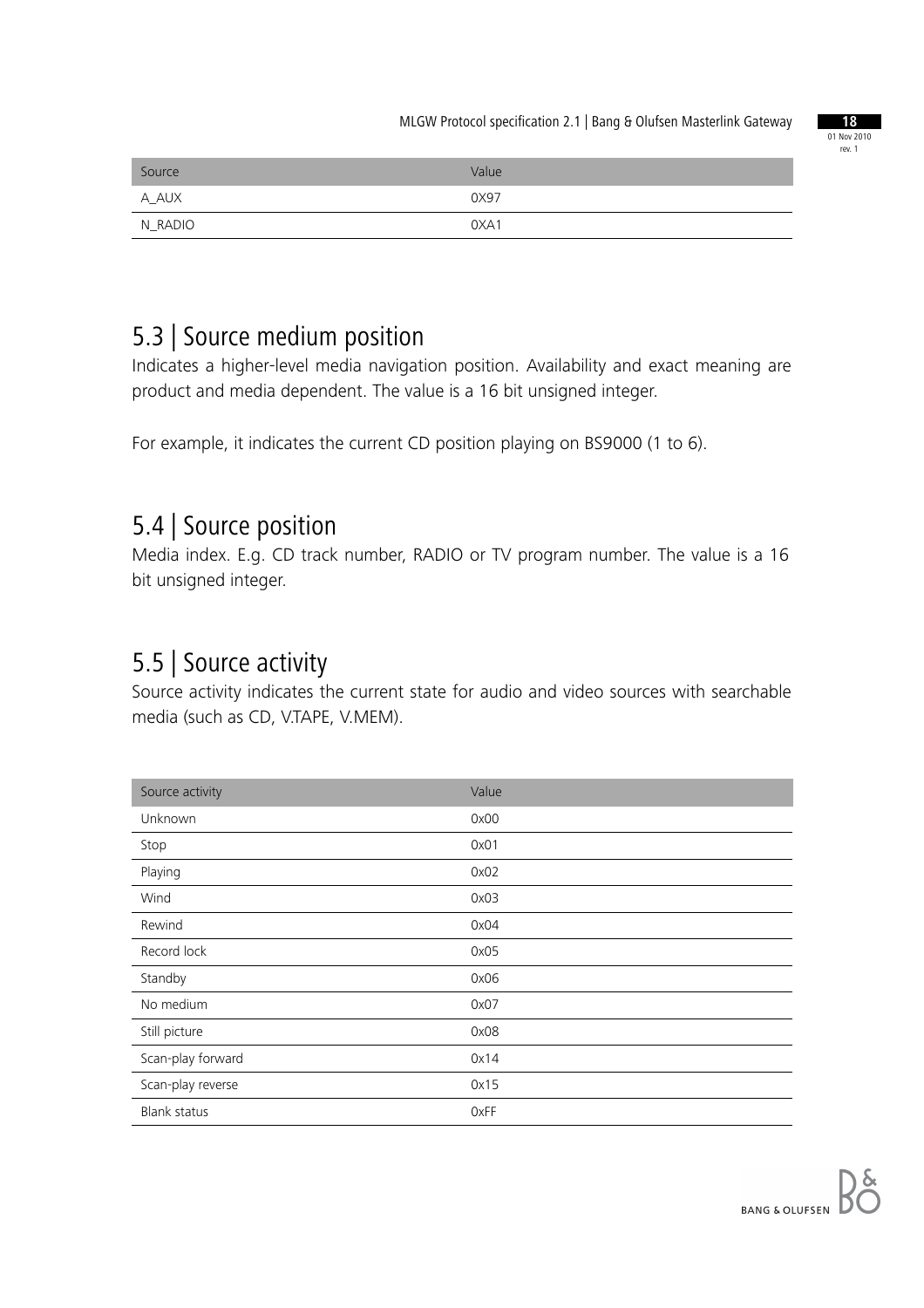

| Source  | Value |
|---------|-------|
| A_AUX   | 0X97  |
| N RADIO | 0XA1  |

#### 5.3 | Source medium position

Indicates a higher-level media navigation position. Availability and exact meaning are product and media dependent. The value is a 16 bit unsigned integer.

For example, it indicates the current CD position playing on BS9000 (1 to 6).

#### 5.4 | Source position

Media index. E.g. CD track number, RADIO or TV program number. The value is a 16 bit unsigned integer.

#### 5.5 | Source activity

Source activity indicates the current state for audio and video sources with searchable media (such as CD, V.TAPE, V.MEM).

| Source activity     | Value |
|---------------------|-------|
| Unknown             | 0x00  |
| Stop                | 0x01  |
| Playing             | 0x02  |
| Wind                | 0x03  |
| Rewind              | 0x04  |
| Record lock         | 0x05  |
| Standby             | 0x06  |
| No medium           | 0x07  |
| Still picture       | 0x08  |
| Scan-play forward   | 0x14  |
| Scan-play reverse   | 0x15  |
| <b>Blank status</b> | 0xFF  |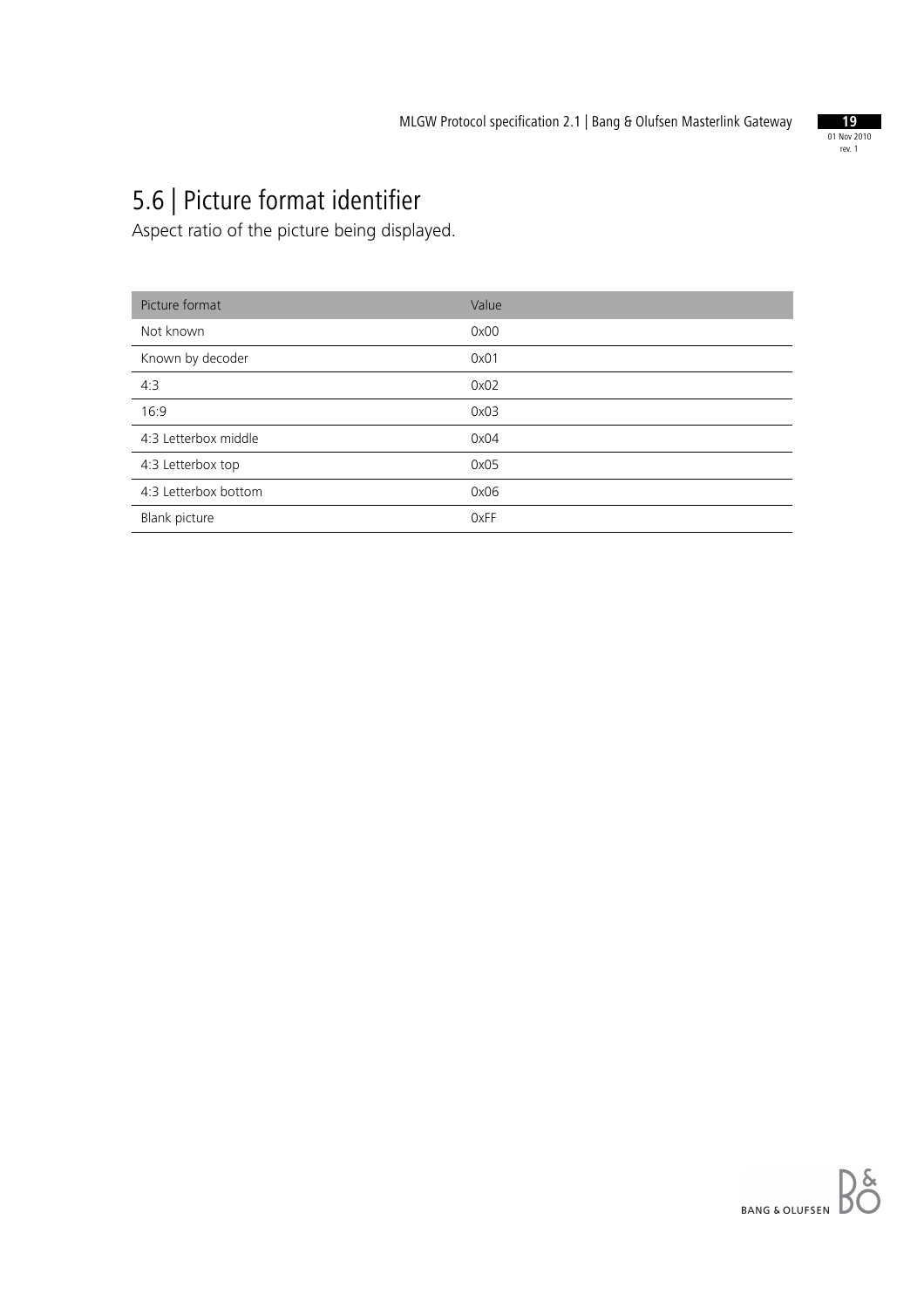

# 5.6 | Picture format identifier

Aspect ratio of the picture being displayed.

| Picture format       | Value |
|----------------------|-------|
| Not known            | 0x00  |
| Known by decoder     | 0x01  |
| 4:3                  | 0x02  |
| 16:9                 | 0x03  |
| 4:3 Letterbox middle | 0x04  |
| 4:3 Letterbox top    | 0x05  |
| 4:3 Letterbox bottom | 0x06  |
| Blank picture        | 0xFF  |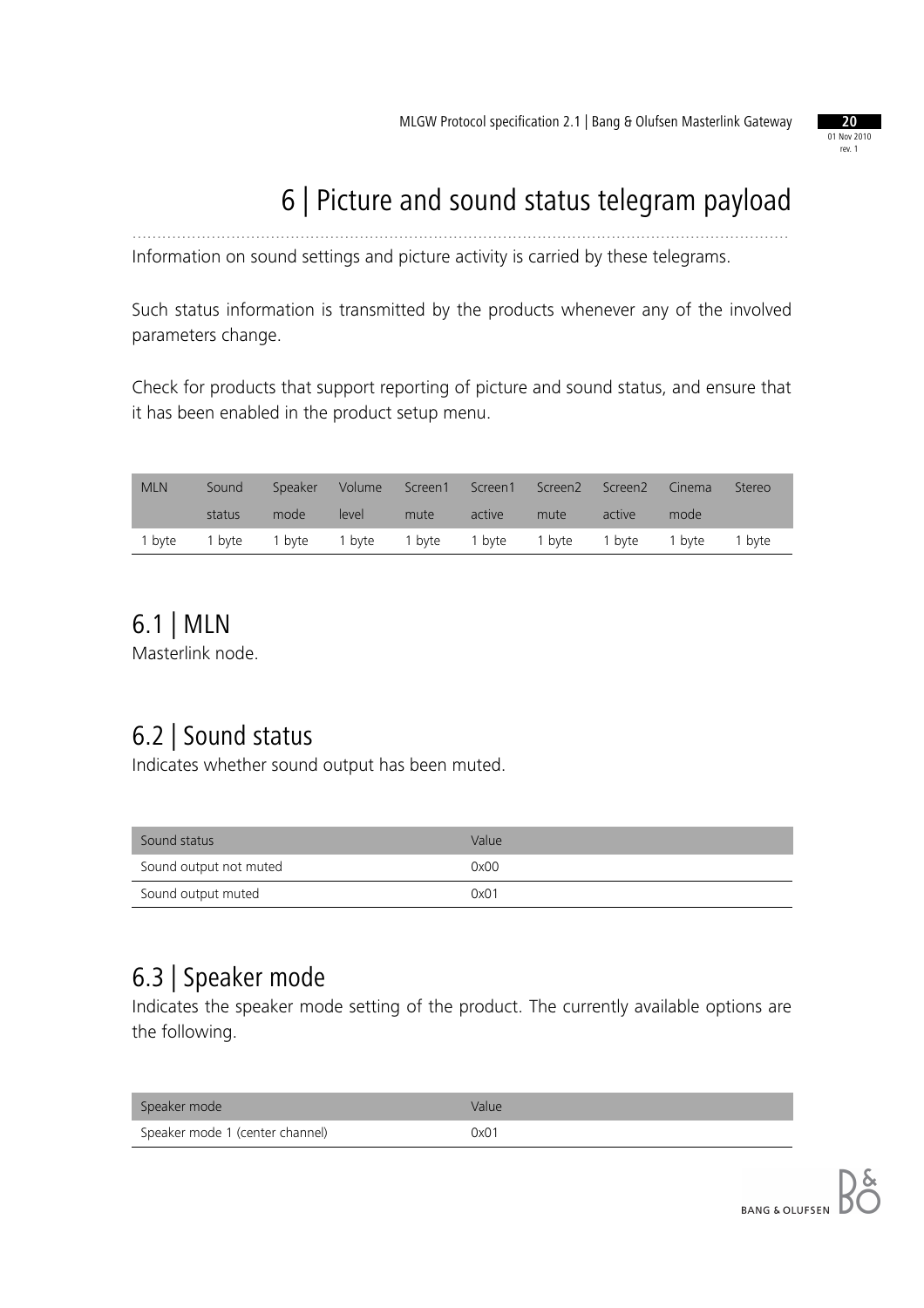

# 6 | Picture and sound status telegram payload

Information on sound settings and picture activity is carried by these telegrams.

Such status information is transmitted by the products whenever any of the involved parameters change.

.....................................................................................................................................

Check for products that support reporting of picture and sound status, and ensure that it has been enabled in the product setup menu.

| <b>MLN</b> | Sound         | Speaker                                          | Volume |      |        | Screen1 Screen1 Screen2 Screen2 |        | Cinema | Stereo |
|------------|---------------|--------------------------------------------------|--------|------|--------|---------------------------------|--------|--------|--------|
|            | status        | mode                                             | level  | mute | active | mute                            | active | mode   |        |
|            | 1 byte 1 byte | 1 byte 1 byte 1 byte 1 byte 1 byte 1 byte 1 byte |        |      |        |                                 |        |        | 1 byte |

## 6.1 | MLN

Masterlink node.

## 6.2 | Sound status

Indicates whether sound output has been muted.

| Sound status           | Value |
|------------------------|-------|
| Sound output not muted | 0x00  |
| Sound output muted     | 0x01  |

#### 6.3 | Speaker mode

Indicates the speaker mode setting of the product. The currently available options are the following.

| Speaker mode                    | Value |
|---------------------------------|-------|
| Speaker mode 1 (center channel) | 0x01  |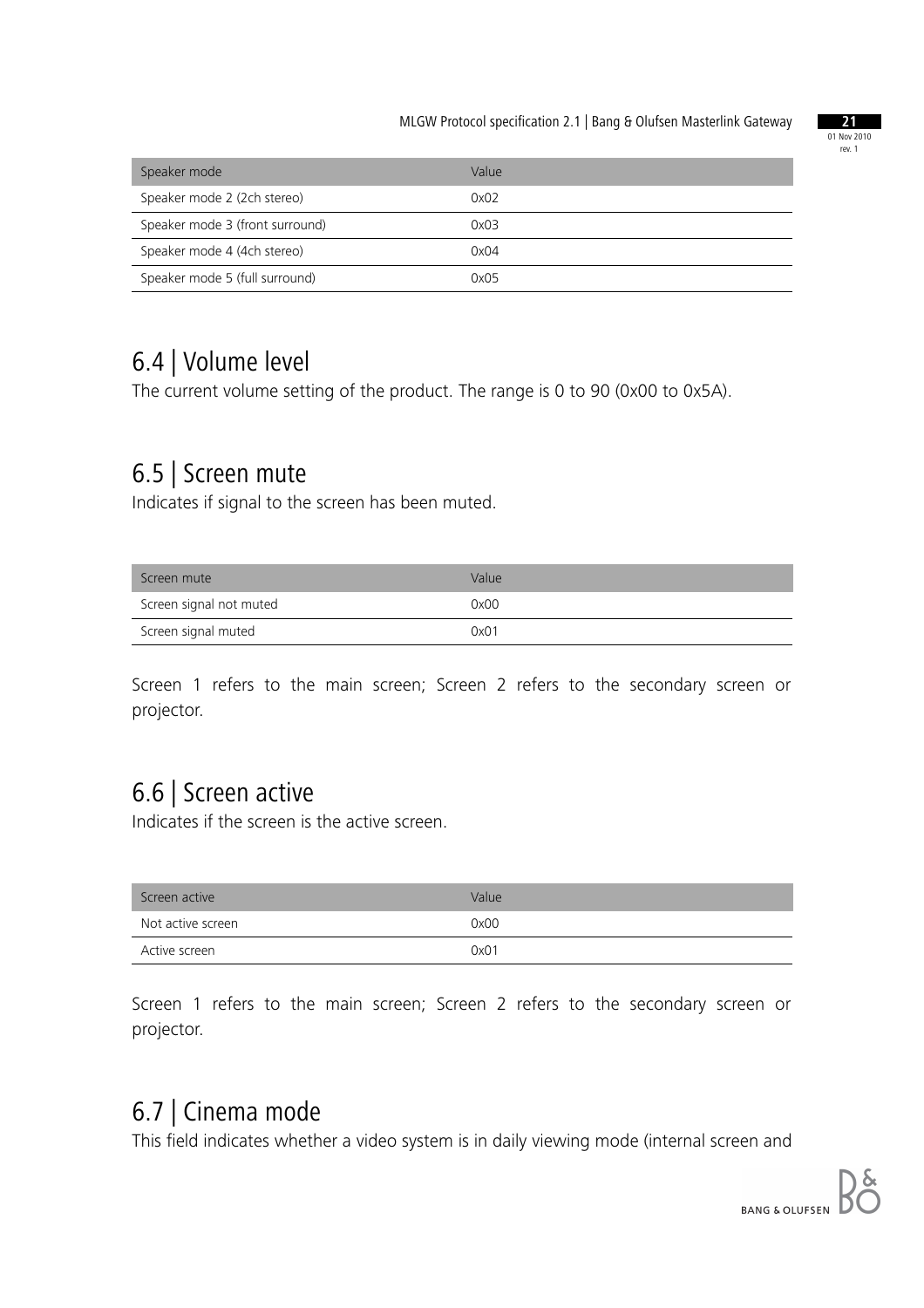

| Speaker mode                    | Value |
|---------------------------------|-------|
| Speaker mode 2 (2ch stereo)     | 0x02  |
| Speaker mode 3 (front surround) | 0x03  |
| Speaker mode 4 (4ch stereo)     | 0x04  |
| Speaker mode 5 (full surround)  | 0x05  |

#### 6.4 | Volume level

The current volume setting of the product. The range is 0 to 90 (0x00 to 0x5A).

#### 6.5 | Screen mute

Indicates if signal to the screen has been muted.

| Screen mute             | Value |
|-------------------------|-------|
| Screen signal not muted | 0x00  |
| Screen signal muted     | 0x01  |

Screen 1 refers to the main screen; Screen 2 refers to the secondary screen or projector.

#### 6.6 | Screen active

Indicates if the screen is the active screen.

| Screen active     | Value |
|-------------------|-------|
| Not active screen | 0x00  |
| Active screen     | 0x01  |

Screen 1 refers to the main screen; Screen 2 refers to the secondary screen or projector.

#### 6.7 | Cinema mode

This field indicates whether a video system is in daily viewing mode (internal screen and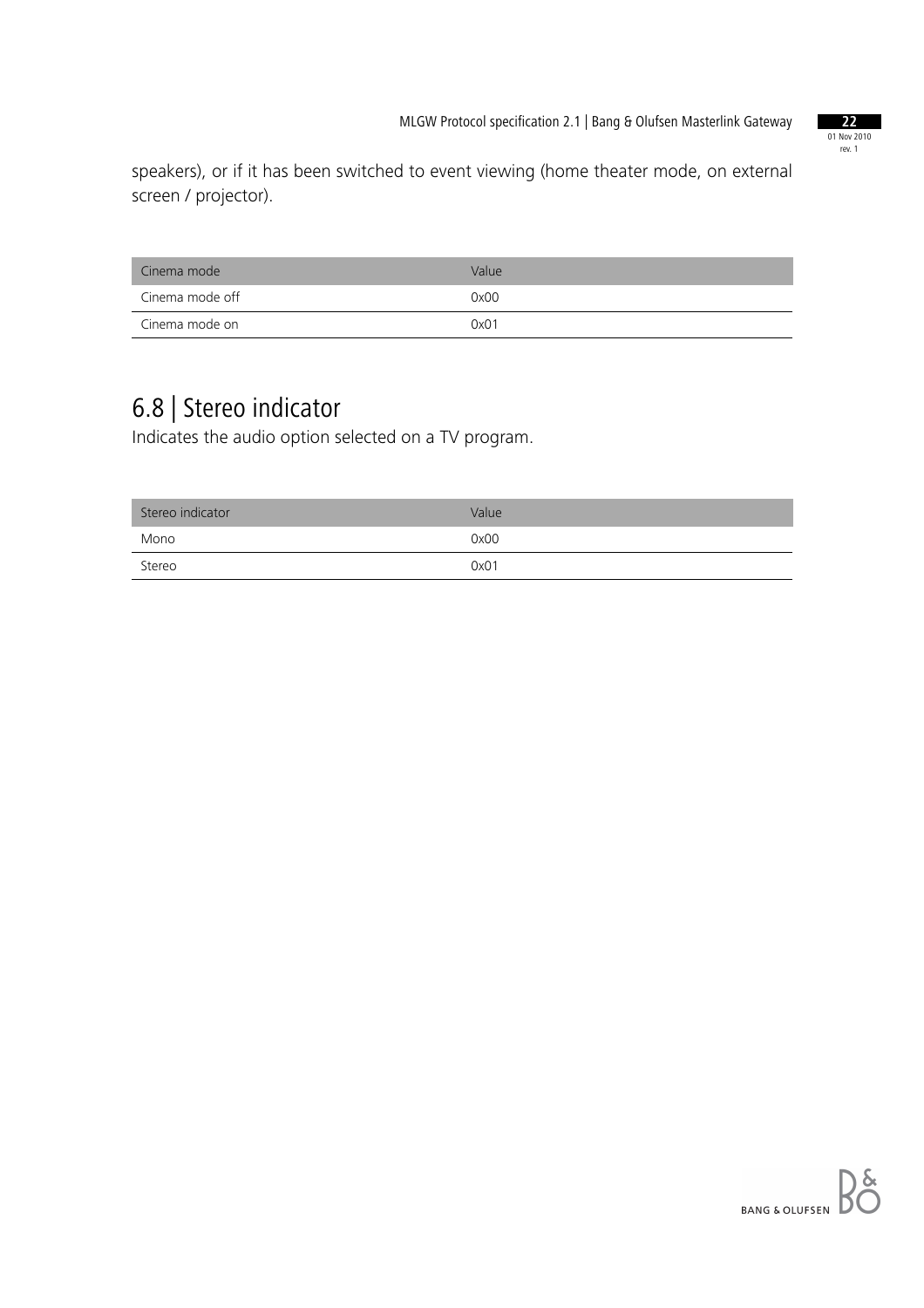

speakers), or if it has been switched to event viewing (home theater mode, on external screen / projector).

| Cinema mode     | Value |
|-----------------|-------|
| Cinema mode off | 0x00  |
| Cinema mode on  | 0x01  |

## 6.8 | Stereo indicator

Indicates the audio option selected on a TV program.

| Stereo indicator | Value |
|------------------|-------|
| Mono             | 0x00  |
| Stereo           | 0x01  |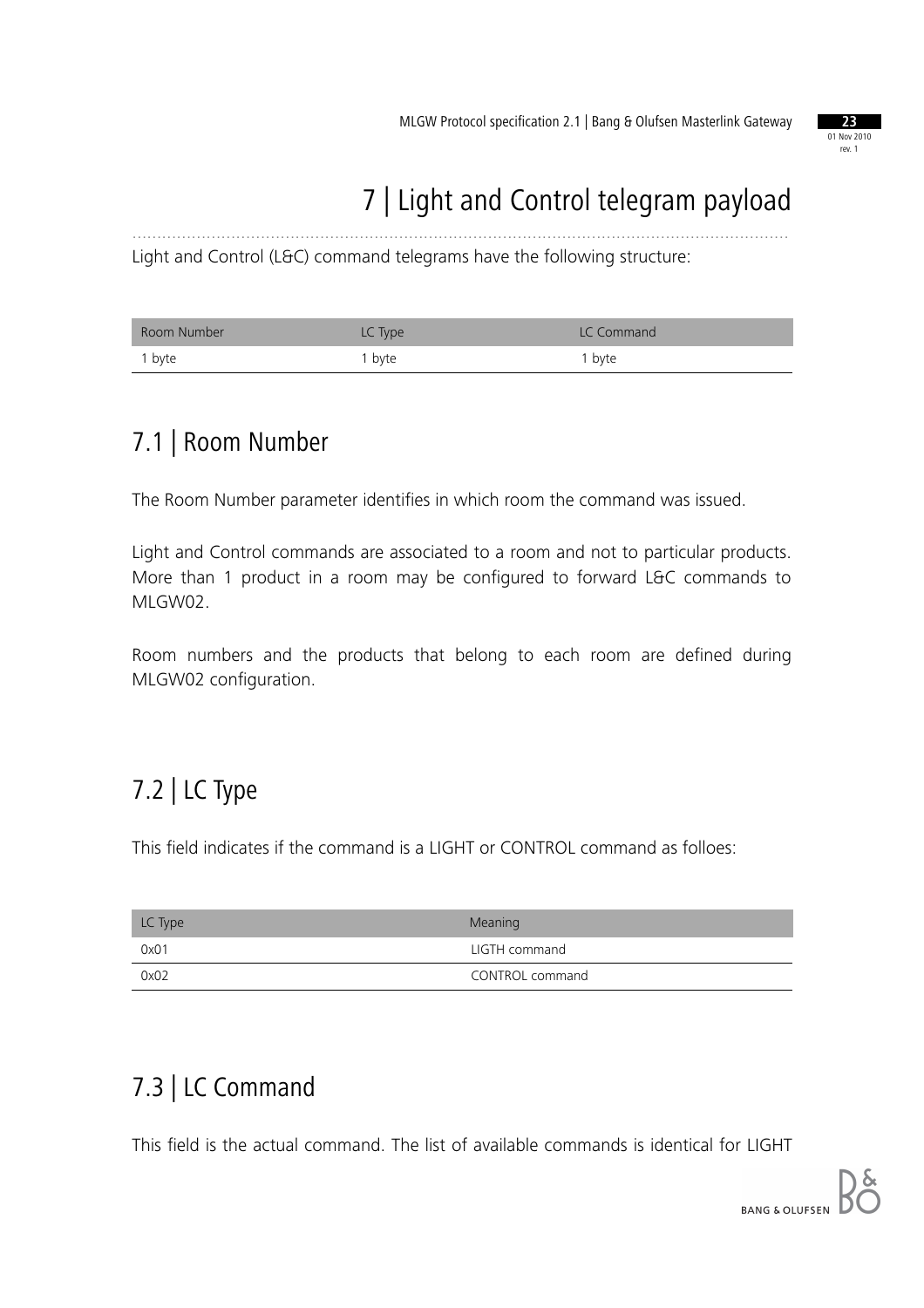

#### 7 | Light and Control telegram payload .....................................................................................................................................

Light and Control (L&C) command telegrams have the following structure:

| Room Number | LC Type | LC Command        |
|-------------|---------|-------------------|
| 1 byte      | 1 byte  | <sup>1</sup> byte |

## 7.1 | Room Number

The Room Number parameter identifies in which room the command was issued.

Light and Control commands are associated to a room and not to particular products. More than 1 product in a room may be configured to forward L&C commands to MLGW02.

Room numbers and the products that belong to each room are defined during MLGW02 configuration.

# 7.2 | LC Type

This field indicates if the command is a LIGHT or CONTROL command as folloes:

| LC Type | <b>Meaning</b>  |
|---------|-----------------|
| 0x01    | LIGTH command   |
| 0x02    | CONTROL command |

# 7.3 | LC Command

This field is the actual command. The list of available commands is identical for LIGHT

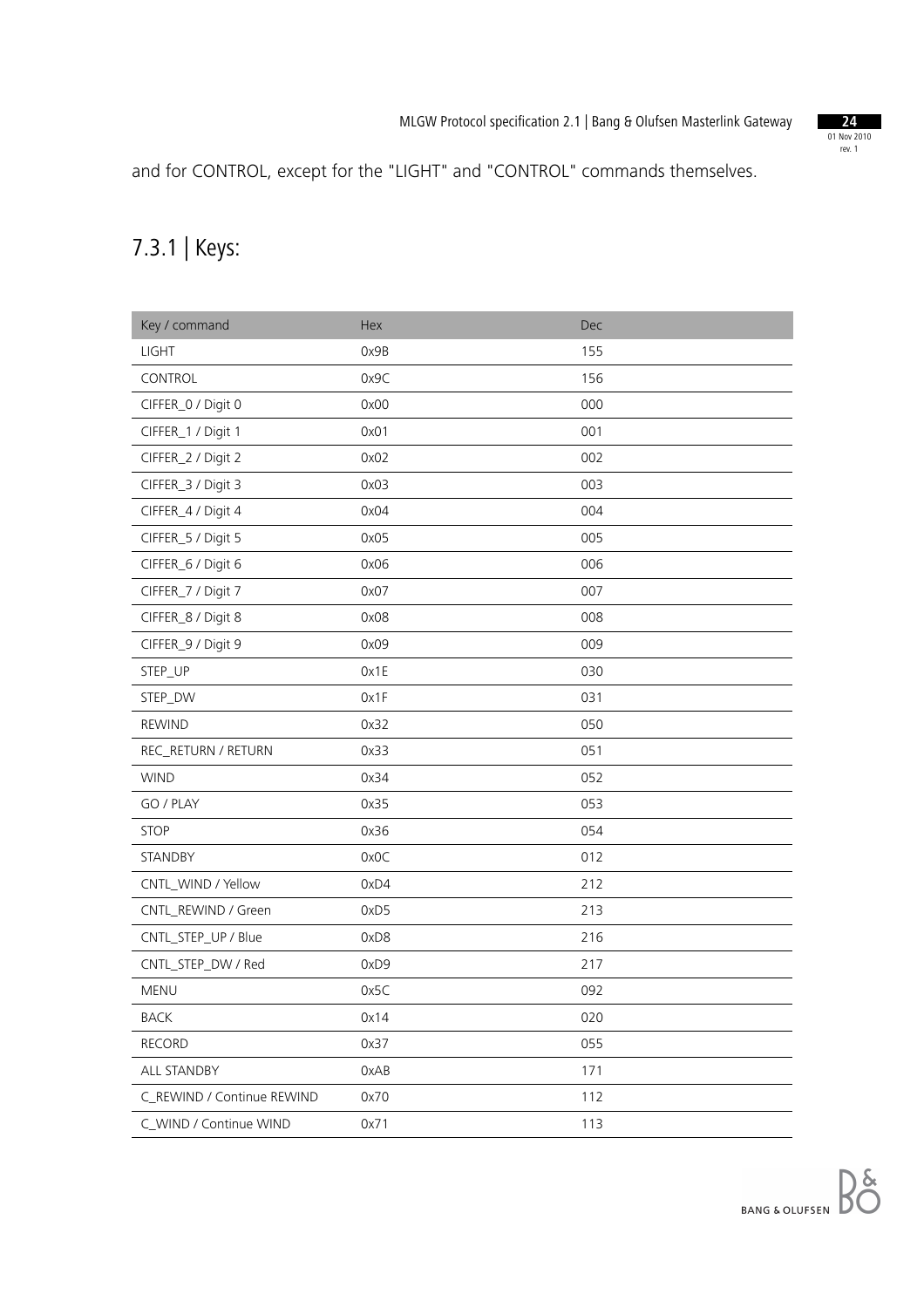

and for CONTROL, except for the "LIGHT" and "CONTROL" commands themselves.

## 7.3.1 | Keys:

| Key / command              | Hex  | <b>Dec</b> |
|----------------------------|------|------------|
| <b>LIGHT</b>               | 0x9B | 155        |
| CONTROL                    | 0x9C | 156        |
| CIFFER_0 / Digit 0         | 0x00 | 000        |
| CIFFER_1 / Digit 1         | 0x01 | 001        |
| CIFFER_2 / Digit 2         | 0x02 | 002        |
| CIFFER_3 / Digit 3         | 0x03 | 003        |
| CIFFER_4 / Digit 4         | 0x04 | 004        |
| CIFFER_5 / Digit 5         | 0x05 | 005        |
| CIFFER_6 / Digit 6         | 0x06 | 006        |
| CIFFER_7 / Digit 7         | 0x07 | 007        |
| CIFFER_8 / Digit 8         | 0x08 | 008        |
| CIFFER_9 / Digit 9         | 0x09 | 009        |
| STEP_UP                    | 0x1E | 030        |
| STEP_DW                    | 0x1F | 031        |
| <b>REWIND</b>              | 0x32 | 050        |
| REC_RETURN / RETURN        | 0x33 | 051        |
| <b>WIND</b>                | 0x34 | 052        |
| GO / PLAY                  | 0x35 | 053        |
| <b>STOP</b>                | 0x36 | 054        |
| STANDBY                    | 0x0C | 012        |
| CNTL_WIND / Yellow         | 0xD4 | 212        |
| CNTL_REWIND / Green        | 0xD5 | 213        |
| CNTL_STEP_UP / Blue        | 0xD8 | 216        |
| CNTL_STEP_DW / Red         | 0xD9 | 217        |
| MENU                       | 0x5C | 092        |
| <b>BACK</b>                | 0x14 | 020        |
| <b>RECORD</b>              | 0x37 | 055        |
| ALL STANDBY                | 0xAB | 171        |
| C_REWIND / Continue REWIND | 0x70 | 112        |
| C_WIND / Continue WIND     | 0x71 | 113        |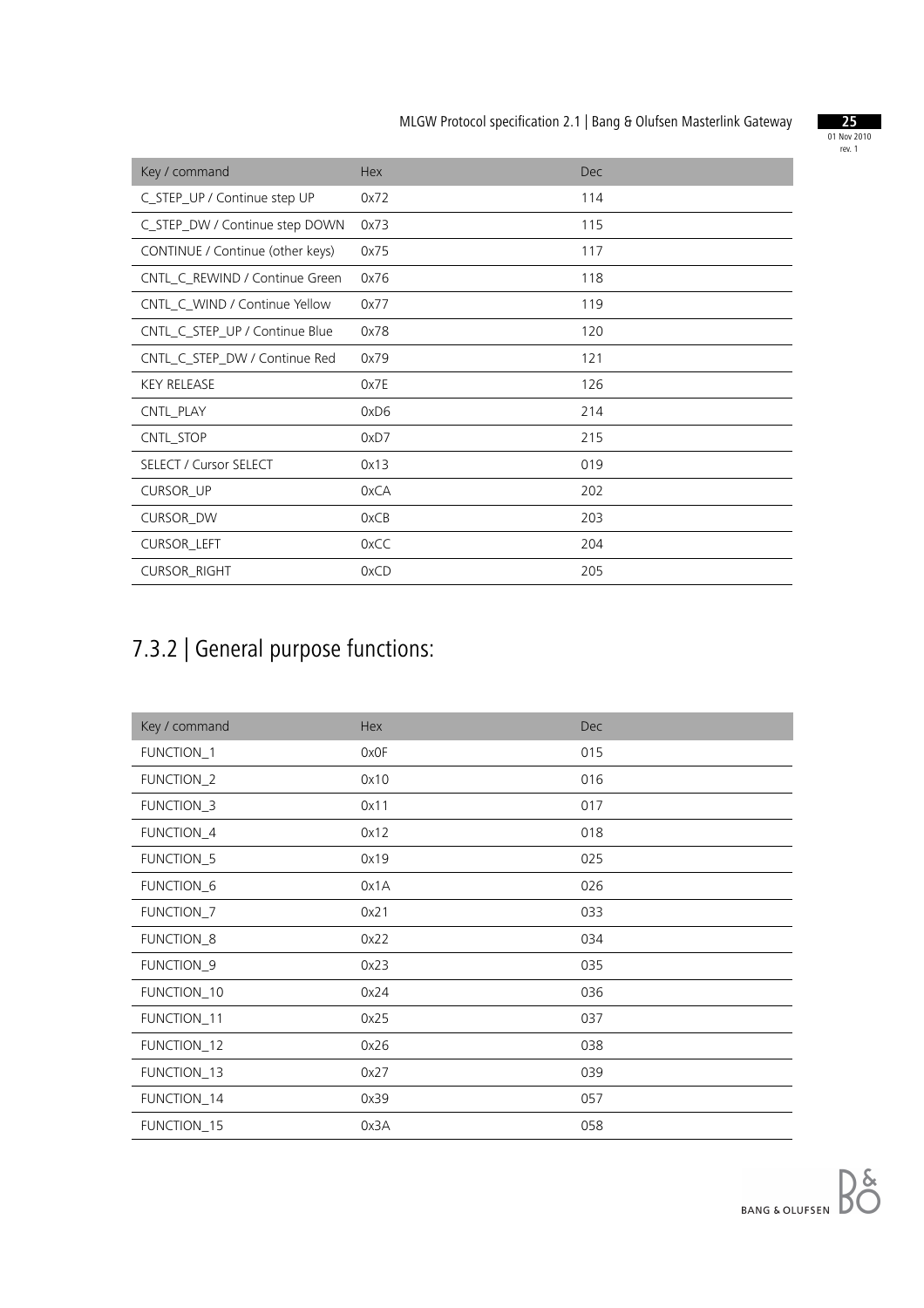

| Key / command                    | <b>Hex</b> | <b>Dec</b> |
|----------------------------------|------------|------------|
| C_STEP_UP / Continue step UP     | 0x72       | 114        |
| C_STEP_DW / Continue step DOWN   | 0x73       | 115        |
| CONTINUE / Continue (other keys) | 0x75       | 117        |
| CNTL_C_REWIND / Continue Green   | 0x76       | 118        |
| CNTL C WIND / Continue Yellow    | 0x77       | 119        |
| CNTL C_STEP_UP / Continue Blue   | 0x78       | 120        |
| CNTL_C_STEP_DW / Continue Red    | 0x79       | 121        |
| <b>KEY RELEASE</b>               | 0x7E       | 126        |
| CNTL_PLAY                        | 0xD6       | 214        |
| CNTL_STOP                        | 0xD7       | 215        |
| <b>SELECT / Cursor SELECT</b>    | 0x13       | 019        |
| <b>CURSOR_UP</b>                 | 0xCA       | 202        |
| <b>CURSOR DW</b>                 | 0xCB       | 203        |
| CURSOR_LEFT                      | 0xCC       | 204        |
| <b>CURSOR_RIGHT</b>              | 0xCD       | 205        |

# 7.3.2 | General purpose functions:

| Key / command | Hex  | <b>Dec</b> |
|---------------|------|------------|
| FUNCTION_1    | 0x0F | 015        |
| FUNCTION_2    | 0x10 | 016        |
| FUNCTION_3    | 0x11 | 017        |
| FUNCTION_4    | 0x12 | 018        |
| FUNCTION_5    | 0x19 | 025        |
| FUNCTION_6    | 0x1A | 026        |
| FUNCTION_7    | 0x21 | 033        |
| FUNCTION_8    | 0x22 | 034        |
| FUNCTION_9    | 0x23 | 035        |
| FUNCTION_10   | 0x24 | 036        |
| FUNCTION_11   | 0x25 | 037        |
| FUNCTION_12   | 0x26 | 038        |
| FUNCTION_13   | 0x27 | 039        |
| FUNCTION_14   | 0x39 | 057        |
| FUNCTION_15   | 0x3A | 058        |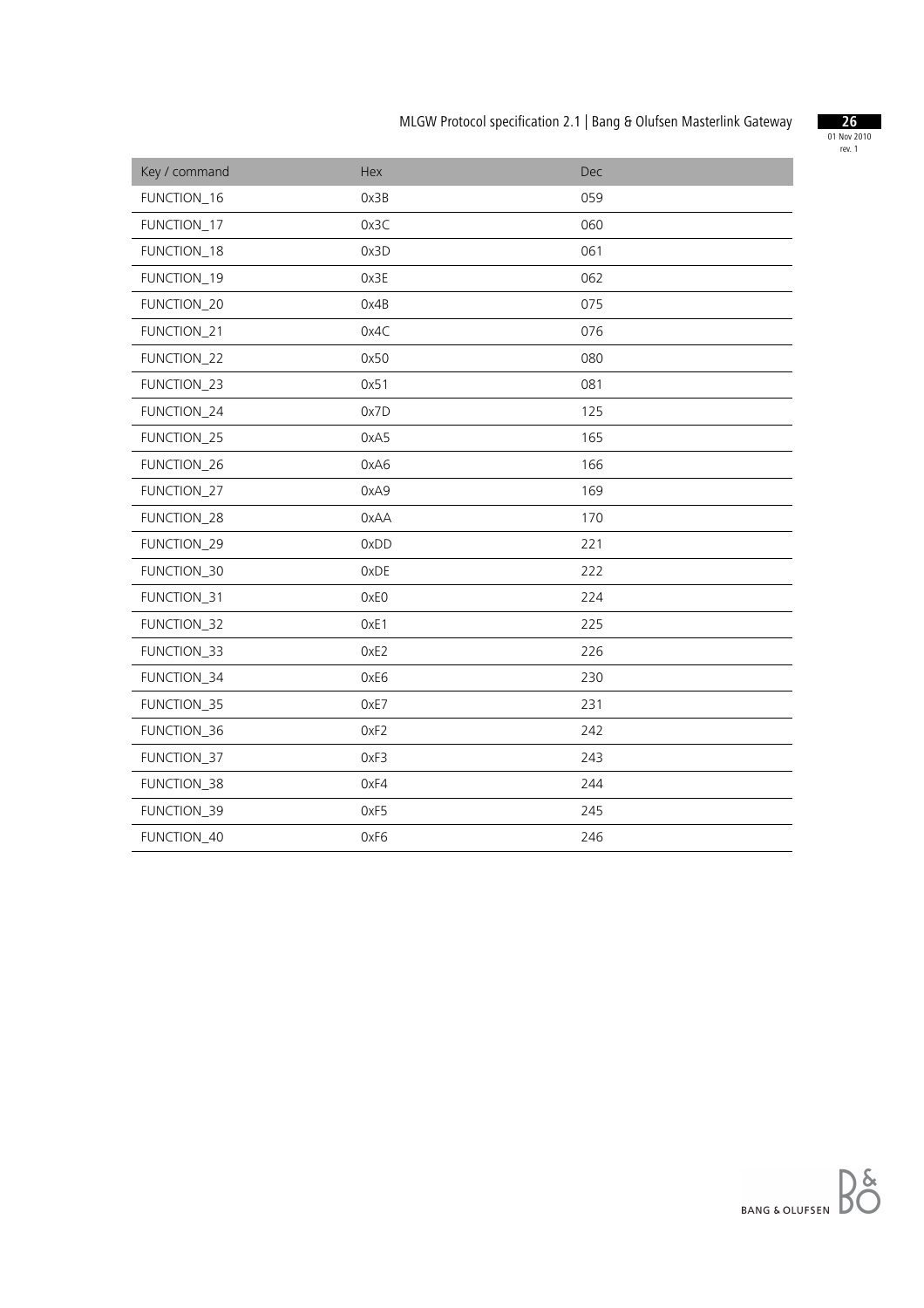

| Key / command | Hex  | Dec |
|---------------|------|-----|
| FUNCTION_16   | 0x3B | 059 |
| FUNCTION_17   | 0x3C | 060 |
| FUNCTION_18   | 0x3D | 061 |
| FUNCTION_19   | 0x3E | 062 |
| FUNCTION_20   | 0x4B | 075 |
| FUNCTION_21   | 0x4C | 076 |
| FUNCTION_22   | 0x50 | 080 |
| FUNCTION_23   | 0x51 | 081 |
| FUNCTION_24   | 0x7D | 125 |
| FUNCTION_25   | 0xA5 | 165 |
| FUNCTION_26   | 0xA6 | 166 |
| FUNCTION_27   | 0xA9 | 169 |
| FUNCTION_28   | 0xAA | 170 |
| FUNCTION_29   | 0xDD | 221 |
| FUNCTION_30   | 0xDE | 222 |
| FUNCTION_31   | 0xE0 | 224 |
| FUNCTION_32   | OxE1 | 225 |
| FUNCTION_33   | 0xE2 | 226 |
| FUNCTION_34   | 0xE6 | 230 |
| FUNCTION_35   | 0xE7 | 231 |
| FUNCTION_36   | OxF2 | 242 |
| FUNCTION_37   | 0xF3 | 243 |
| FUNCTION_38   | 0xF4 | 244 |
| FUNCTION_39   | 0xF5 | 245 |
| FUNCTION_40   | 0xF6 | 246 |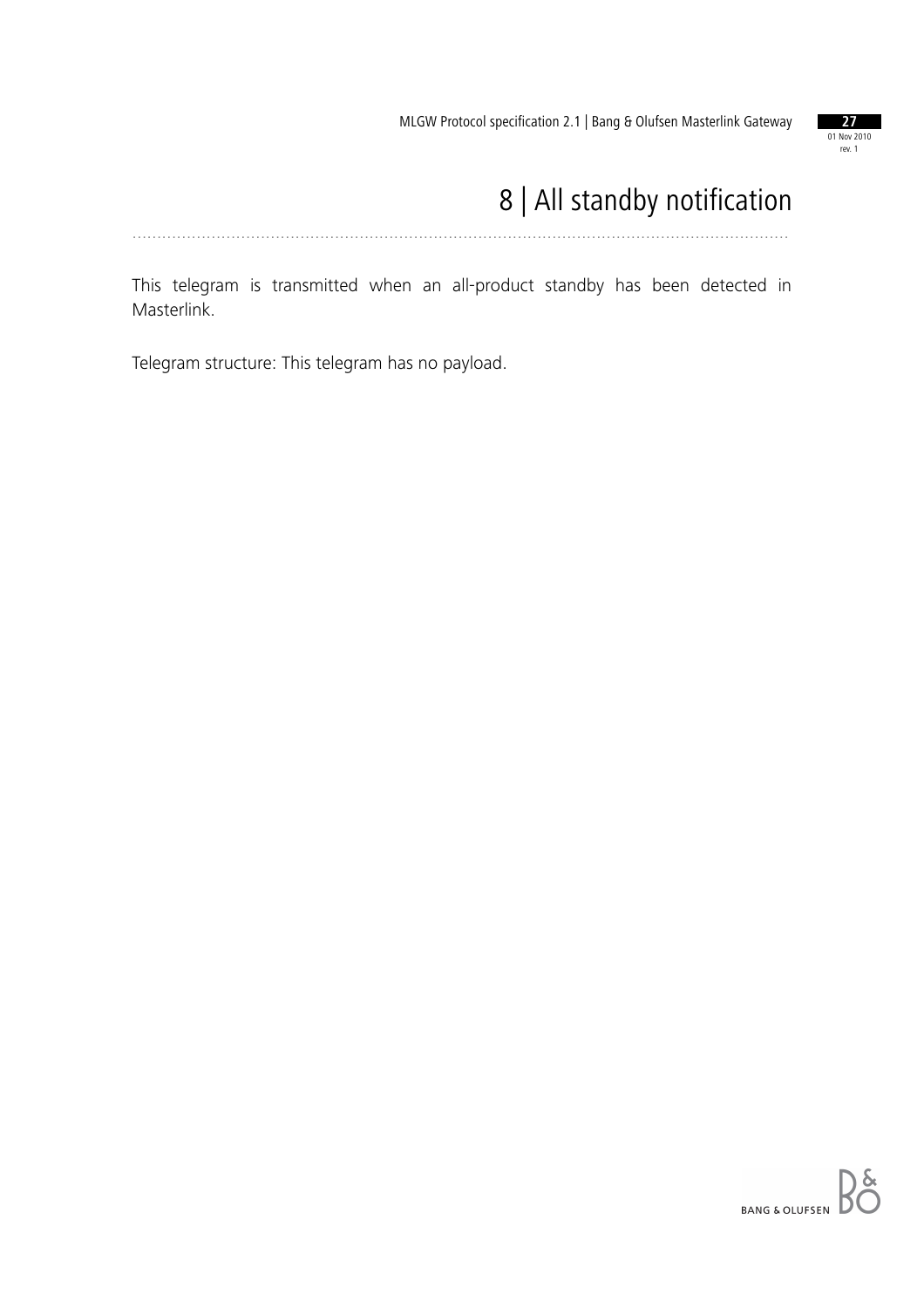

# 8 | All standby notification

.....................................................................................................................................

This telegram is transmitted when an all-product standby has been detected in Masterlink.

Telegram structure: This telegram has no payload.

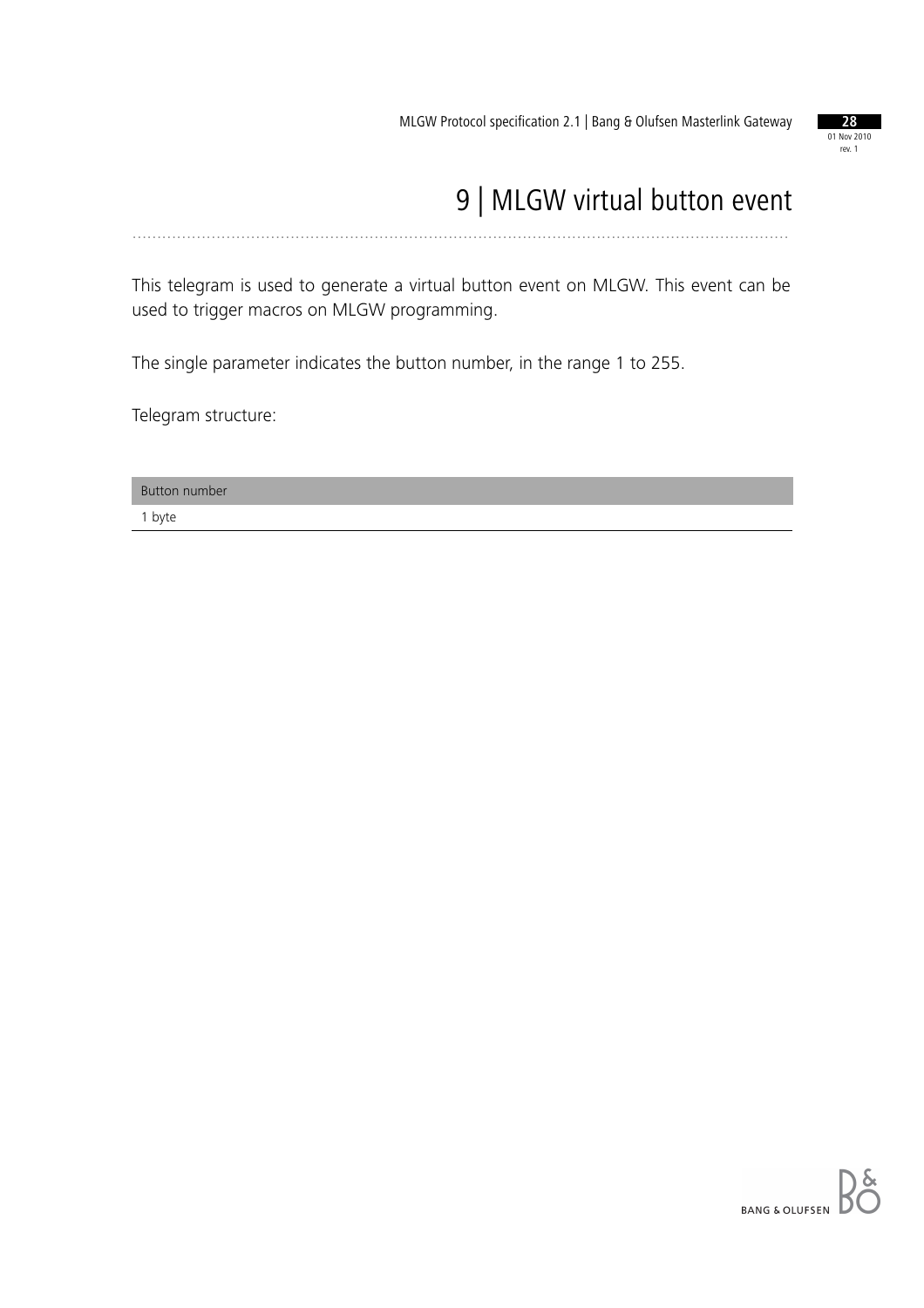

# 9 | MLGW virtual button event

.....................................................................................................................................

This telegram is used to generate a virtual button event on MLGW. This event can be used to trigger macros on MLGW programming.

The single parameter indicates the button number, in the range 1 to 255.

Telegram structure:

Button number

1 byte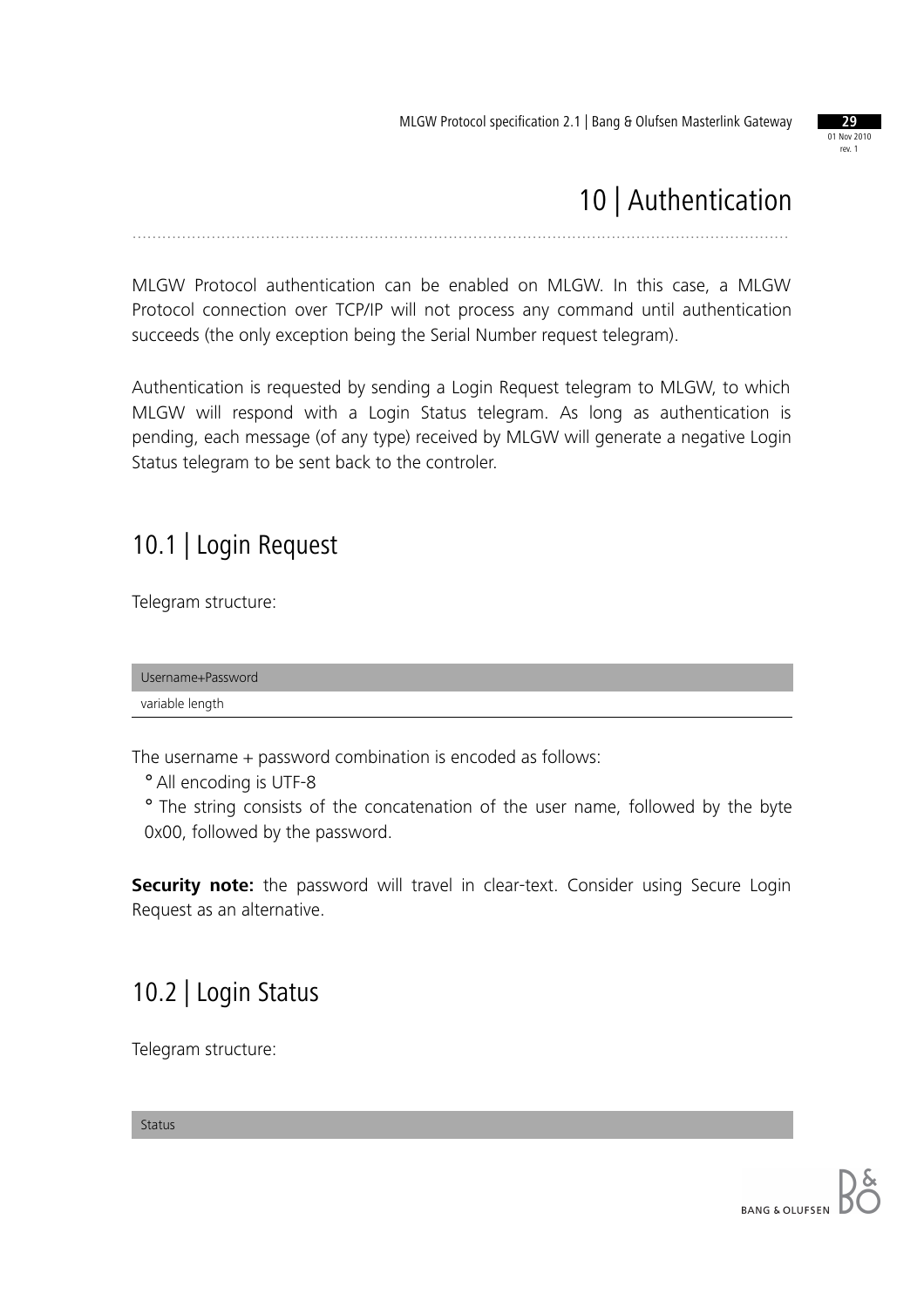

# 10 | Authentication

.....................................................................................................................................

MLGW Protocol authentication can be enabled on MLGW. In this case, a MLGW Protocol connection over TCP/IP will not process any command until authentication succeeds (the only exception being the Serial Number request telegram).

Authentication is requested by sending a Login Request telegram to MLGW, to which MLGW will respond with a Login Status telegram. As long as authentication is pending, each message (of any type) received by MLGW will generate a negative Login Status telegram to be sent back to the controler.

#### 10.1 | Login Request

Telegram structure:

Username+Password variable length

The username + password combination is encoded as follows:

° All encoding is UTF-8

° The string consists of the concatenation of the user name, followed by the byte 0x00, followed by the password.

**Security note:** the password will travel in clear-text. Consider using Secure Login Request as an alternative.

## 10.2 | Login Status

Telegram structure:

Status

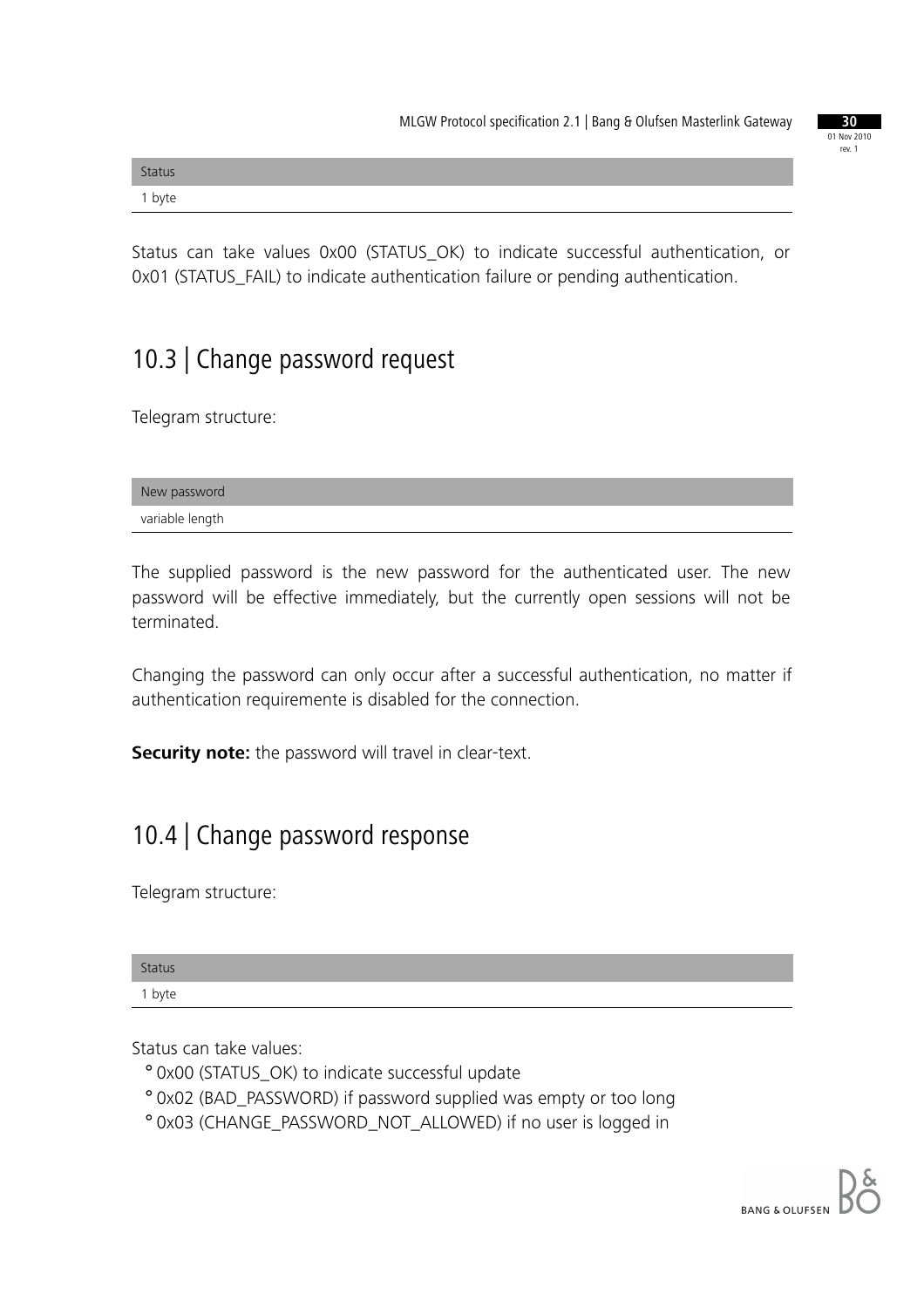| <b>Status</b> |  |  |
|---------------|--|--|
| 1 byte        |  |  |

Status can take values 0x00 (STATUS\_OK) to indicate successful authentication, or 0x01 (STATUS\_FAIL) to indicate authentication failure or pending authentication.

## 10.3 | Change password request

Telegram structure:

| New password    |  |
|-----------------|--|
| variable length |  |

The supplied password is the new password for the authenticated user. The new password will be effective immediately, but the currently open sessions will not be terminated.

Changing the password can only occur after a successful authentication, no matter if authentication requiremente is disabled for the connection.

**Security note:** the password will travel in clear-text.

#### 10.4 | Change password response

Telegram structure:

| <b>Status</b> |  |  |
|---------------|--|--|
| 1 byte        |  |  |

Status can take values:

- ° 0x00 (STATUS\_OK) to indicate successful update
- ° 0x02 (BAD\_PASSWORD) if password supplied was empty or too long
- ° 0x03 (CHANGE\_PASSWORD\_NOT\_ALLOWED) if no user is logged in

01 Nov 2010 rev. 1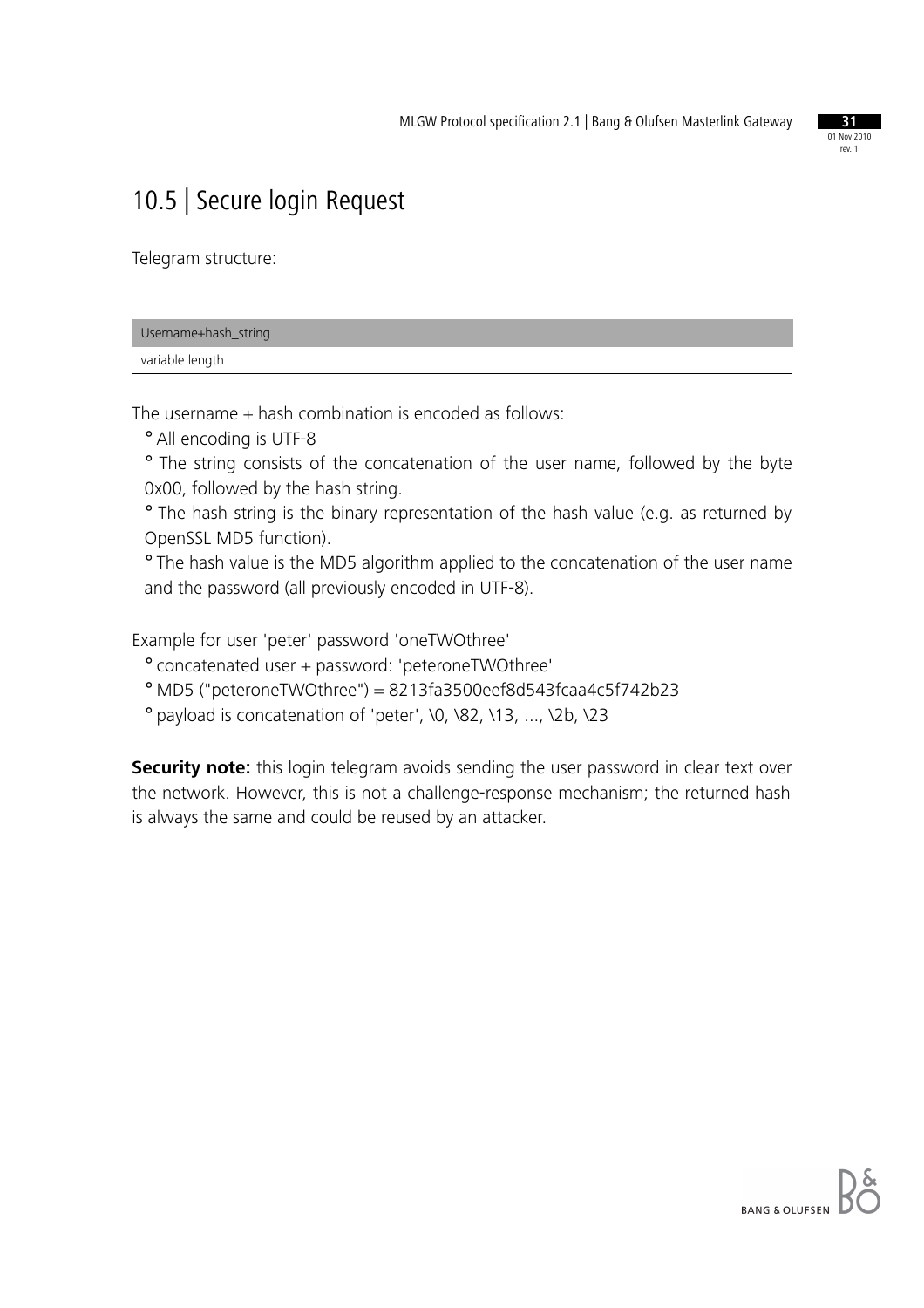

## 10.5 | Secure login Request

Telegram structure:

| Username+hash_string |  |
|----------------------|--|
| variable length      |  |

The username + hash combination is encoded as follows:

° All encoding is UTF-8

° The string consists of the concatenation of the user name, followed by the byte 0x00, followed by the hash string.

° The hash string is the binary representation of the hash value (e.g. as returned by OpenSSL MD5 function).

° The hash value is the MD5 algorithm applied to the concatenation of the user name and the password (all previously encoded in UTF-8).

Example for user 'peter' password 'oneTWOthree'

° concatenated user + password: 'peteroneTWOthree'

° MD5 ("peteroneTWOthree") = 8213fa3500eef8d543fcaa4c5f742b23

° payload is concatenation of 'peter', \0, \82, \13, ..., \2b, \23

**Security note:** this login telegram avoids sending the user password in clear text over the network. However, this is not a challenge-response mechanism; the returned hash is always the same and could be reused by an attacker.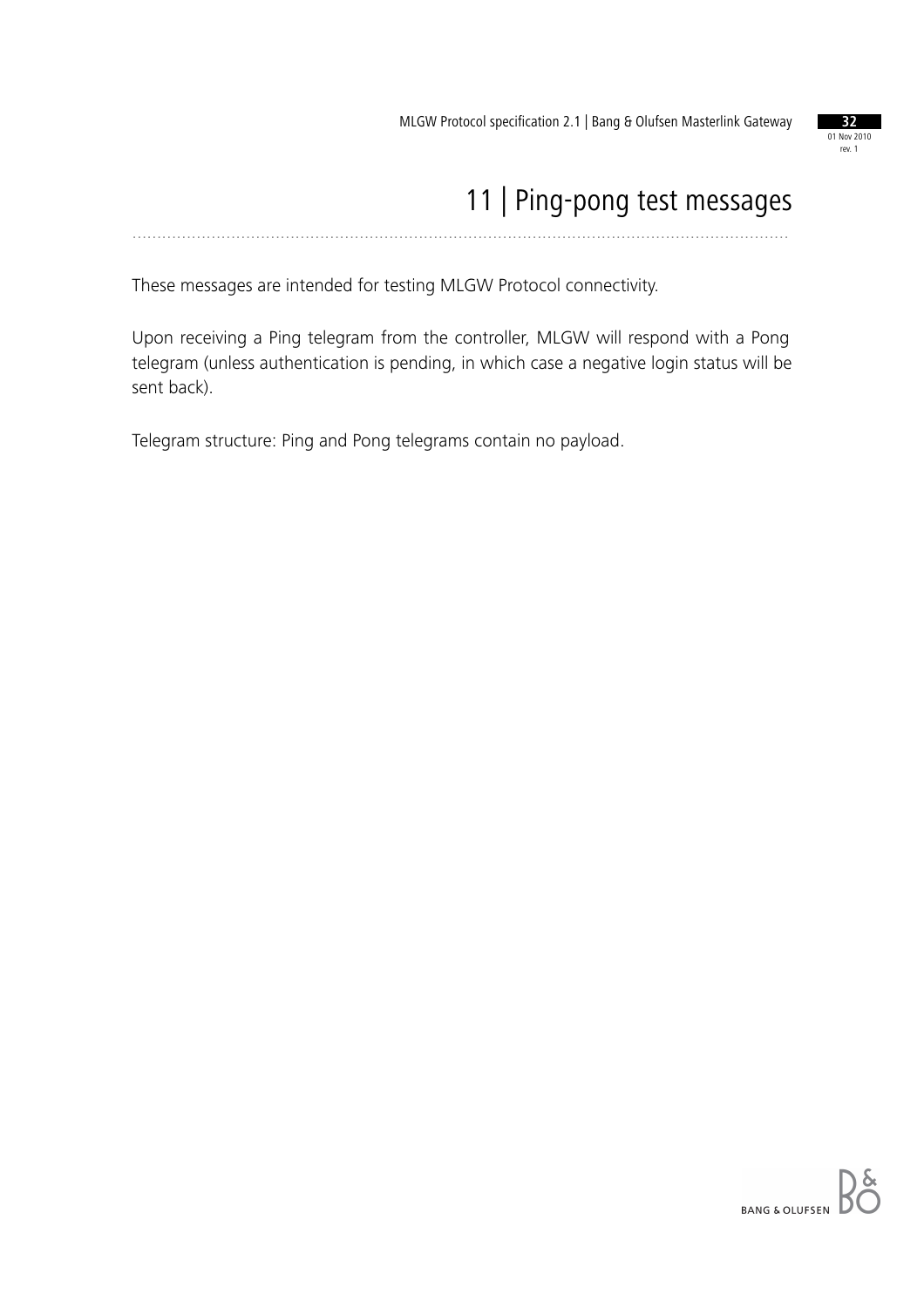

#### 11 | Ping-pong test messages .....................................................................................................................................

These messages are intended for testing MLGW Protocol connectivity.

Upon receiving a Ping telegram from the controller, MLGW will respond with a Pong telegram (unless authentication is pending, in which case a negative login status will be sent back).

Telegram structure: Ping and Pong telegrams contain no payload.

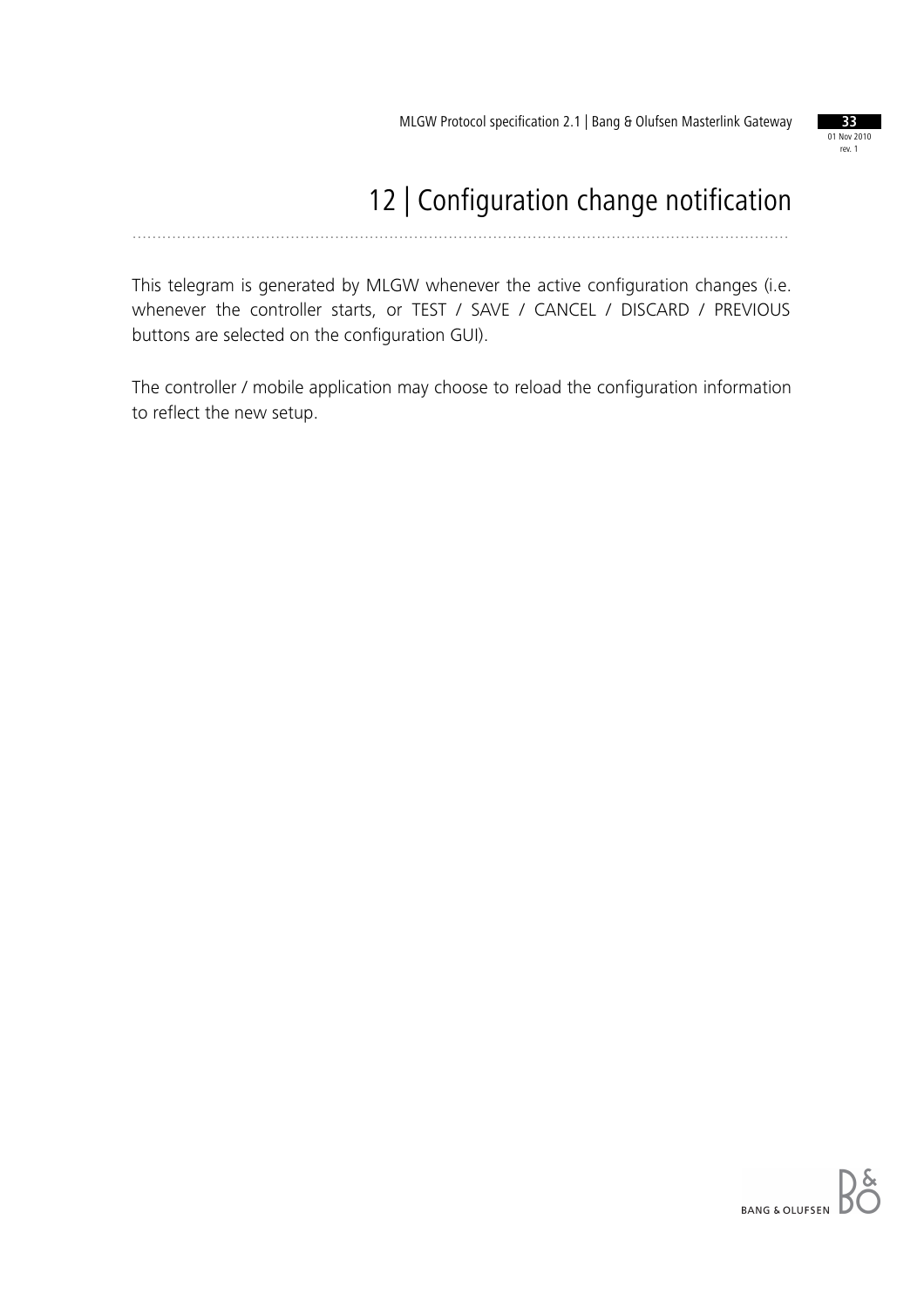

# 12 | Configuration change notification

.....................................................................................................................................

This telegram is generated by MLGW whenever the active configuration changes (i.e. whenever the controller starts, or TEST / SAVE / CANCEL / DISCARD / PREVIOUS buttons are selected on the configuration GUI).

The controller / mobile application may choose to reload the configuration information to reflect the new setup.